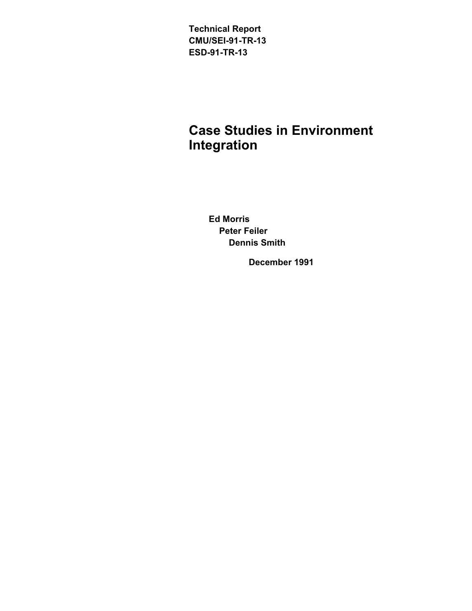**Technical Report CMU/SEI-91-TR-13 ESD-91-TR-13**

# **Case Studies in Environment Integration**

**Ed Morris Peter Feiler Dennis Smith**

**December 1991**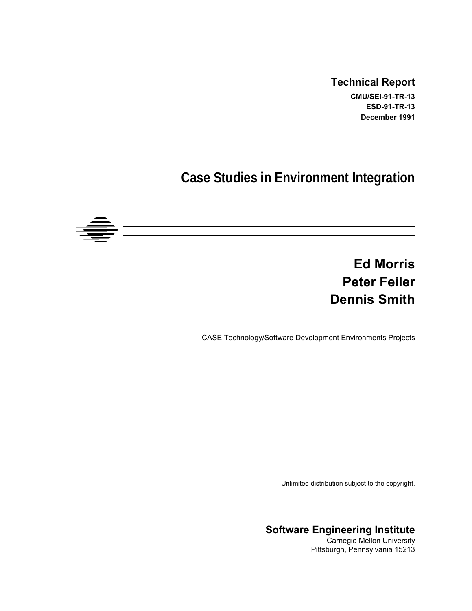#### **Technical Report**

**CMU/SEI-91-TR-13 ESD-91-TR-13 December 1991**

# **Case Studies in Environment Integration**



# **Ed Morris Peter Feiler Dennis Smith**

CASE Technology/Software Development Environments Projects

Unlimited distribution subject to the copyright.

**Software Engineering Institute**

Carnegie Mellon University Pittsburgh, Pennsylvania 15213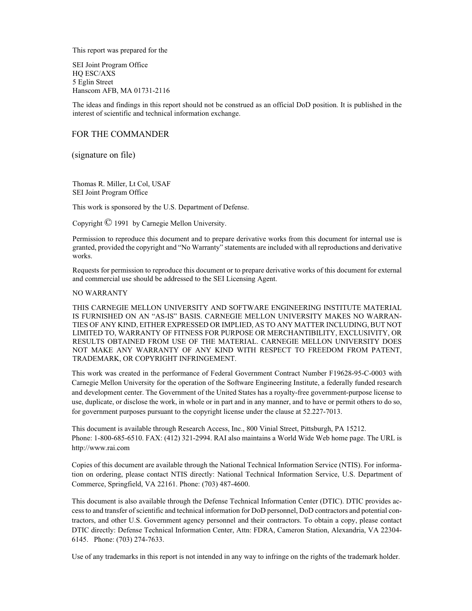This report was prepared for the

SEI Joint Program Office HQ ESC/AXS 5 Eglin Street Hanscom AFB, MA 01731-2116

The ideas and findings in this report should not be construed as an official DoD position. It is published in the interest of scientific and technical information exchange.

#### FOR THE COMMANDER

(signature on file)

Thomas R. Miller, Lt Col, USAF SEI Joint Program Office

This work is sponsored by the U.S. Department of Defense.

Copyright © 1991 by Carnegie Mellon University.

Permission to reproduce this document and to prepare derivative works from this document for internal use is granted, provided the copyright and "No Warranty" statements are included with all reproductions and derivative works.

Requests for permission to reproduce this document or to prepare derivative works of this document for external and commercial use should be addressed to the SEI Licensing Agent.

#### NO WARRANTY

THIS CARNEGIE MELLON UNIVERSITY AND SOFTWARE ENGINEERING INSTITUTE MATERIAL IS FURNISHED ON AN "AS-IS" BASIS. CARNEGIE MELLON UNIVERSITY MAKES NO WARRAN-TIES OF ANY KIND, EITHER EXPRESSED OR IMPLIED, AS TO ANY MATTER INCLUDING, BUT NOT LIMITED TO, WARRANTY OF FITNESS FOR PURPOSE OR MERCHANTIBILITY, EXCLUSIVITY, OR RESULTS OBTAINED FROM USE OF THE MATERIAL. CARNEGIE MELLON UNIVERSITY DOES NOT MAKE ANY WARRANTY OF ANY KIND WITH RESPECT TO FREEDOM FROM PATENT, TRADEMARK, OR COPYRIGHT INFRINGEMENT.

This work was created in the performance of Federal Government Contract Number F19628-95-C-0003 with Carnegie Mellon University for the operation of the Software Engineering Institute, a federally funded research and development center. The Government of the United States has a royalty-free government-purpose license to use, duplicate, or disclose the work, in whole or in part and in any manner, and to have or permit others to do so, for government purposes pursuant to the copyright license under the clause at 52.227-7013.

This document is available through Research Access, Inc., 800 Vinial Street, Pittsburgh, PA 15212. Phone: 1-800-685-6510. FAX: (412) 321-2994. RAI also maintains a World Wide Web home page. The URL is http://www.rai.com

Copies of this document are available through the National Technical Information Service (NTIS). For information on ordering, please contact NTIS directly: National Technical Information Service, U.S. Department of Commerce, Springfield, VA 22161. Phone: (703) 487-4600.

This document is also available through the Defense Technical Information Center (DTIC). DTIC provides access to and transfer of scientific and technical information for DoD personnel, DoD contractors and potential contractors, and other U.S. Government agency personnel and their contractors. To obtain a copy, please contact DTIC directly: Defense Technical Information Center, Attn: FDRA, Cameron Station, Alexandria, VA 22304- 6145. Phone: (703) 274-7633.

Use of any trademarks in this report is not intended in any way to infringe on the rights of the trademark holder.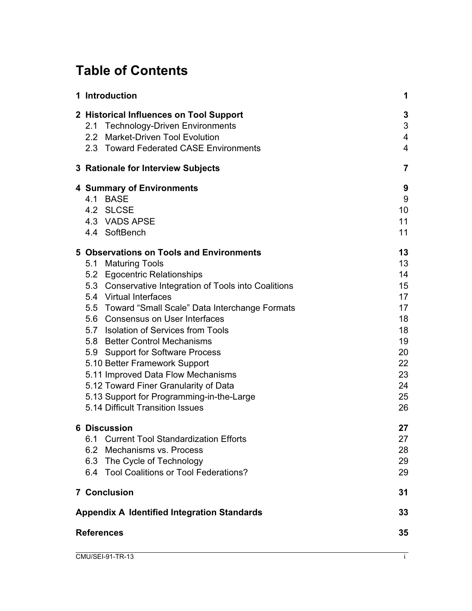# **Table of Contents**

|                   | 1 Introduction                                                                  | 1                    |  |  |  |
|-------------------|---------------------------------------------------------------------------------|----------------------|--|--|--|
|                   | 2 Historical Influences on Tool Support<br>2.1 Technology-Driven Environments   | 3<br>3               |  |  |  |
|                   | 2.2 Market-Driven Tool Evolution                                                | 4                    |  |  |  |
|                   | 2.3 Toward Federated CASE Environments                                          | $\overline{4}$       |  |  |  |
|                   | 3 Rationale for Interview Subjects                                              | $\overline{7}$       |  |  |  |
|                   | <b>4 Summary of Environments</b>                                                | 9                    |  |  |  |
|                   | 4.1 BASE                                                                        | 9                    |  |  |  |
|                   | 4.2 SLCSE                                                                       | 10                   |  |  |  |
|                   | 4.3 VADS APSE                                                                   | 11                   |  |  |  |
|                   | 4.4 SoftBench                                                                   | 11                   |  |  |  |
|                   | 5 Observations on Tools and Environments                                        | 13                   |  |  |  |
|                   | 5.1 Maturing Tools                                                              | 13                   |  |  |  |
|                   | 5.2 Egocentric Relationships                                                    | 14                   |  |  |  |
|                   | 5.3 Conservative Integration of Tools into Coalitions<br>5.4 Virtual Interfaces | 15<br>17             |  |  |  |
|                   | 5.5 Toward "Small Scale" Data Interchange Formats                               | 17                   |  |  |  |
|                   | 5.6 Consensus on User Interfaces                                                | 18                   |  |  |  |
|                   | 5.7 Isolation of Services from Tools                                            | 18                   |  |  |  |
|                   | 5.8 Better Control Mechanisms                                                   | 19<br>20<br>22<br>23 |  |  |  |
|                   | 5.9 Support for Software Process                                                |                      |  |  |  |
|                   | 5.10 Better Framework Support                                                   |                      |  |  |  |
|                   | 5.11 Improved Data Flow Mechanisms                                              |                      |  |  |  |
|                   | 5.12 Toward Finer Granularity of Data                                           | 24                   |  |  |  |
|                   | 5.13 Support for Programming-in-the-Large                                       | 25                   |  |  |  |
|                   | 5.14 Difficult Transition Issues                                                | 26                   |  |  |  |
|                   | <b>6 Discussion</b>                                                             | 27                   |  |  |  |
|                   | 6.1<br><b>Current Tool Standardization Efforts</b>                              | 27                   |  |  |  |
|                   | 6.2 Mechanisms vs. Process                                                      | 28                   |  |  |  |
|                   | 6.3 The Cycle of Technology                                                     | 29                   |  |  |  |
|                   | 6.4 Tool Coalitions or Tool Federations?                                        | 29                   |  |  |  |
|                   | <b>7 Conclusion</b>                                                             | 31                   |  |  |  |
|                   | <b>Appendix A Identified Integration Standards</b>                              | 33                   |  |  |  |
| <b>References</b> |                                                                                 |                      |  |  |  |
|                   | CMU/SEI-91-TR-13                                                                | ÷                    |  |  |  |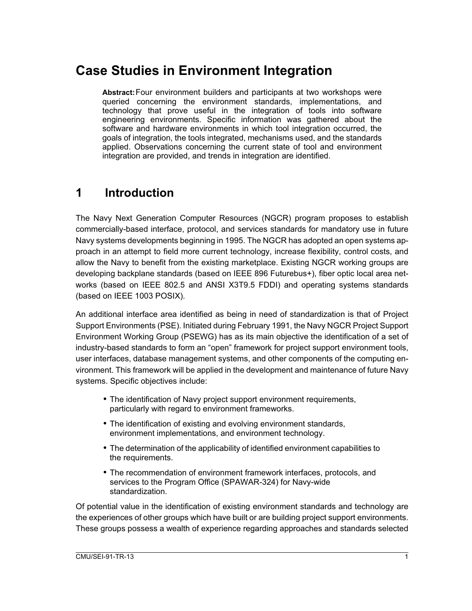# **Case Studies in Environment Integration**

**Abstract:**Four environment builders and participants at two workshops were queried concerning the environment standards, implementations, and technology that prove useful in the integration of tools into software engineering environments. Specific information was gathered about the software and hardware environments in which tool integration occurred, the goals of integration, the tools integrated, mechanisms used, and the standards applied. Observations concerning the current state of tool and environment integration are provided, and trends in integration are identified.

### **1 Introduction**

The Navy Next Generation Computer Resources (NGCR) program proposes to establish commercially-based interface, protocol, and services standards for mandatory use in future Navy systems developments beginning in 1995. The NGCR has adopted an open systems approach in an attempt to field more current technology, increase flexibility, control costs, and allow the Navy to benefit from the existing marketplace. Existing NGCR working groups are developing backplane standards (based on IEEE 896 Futurebus+), fiber optic local area networks (based on IEEE 802.5 and ANSI X3T9.5 FDDI) and operating systems standards (based on IEEE 1003 POSIX).

An additional interface area identified as being in need of standardization is that of Project Support Environments (PSE). Initiated during February 1991, the Navy NGCR Project Support Environment Working Group (PSEWG) has as its main objective the identification of a set of industry-based standards to form an "open" framework for project support environment tools, user interfaces, database management systems, and other components of the computing environment. This framework will be applied in the development and maintenance of future Navy systems. Specific objectives include:

- The identification of Navy project support environment requirements, particularly with regard to environment frameworks.
- The identification of existing and evolving environment standards, environment implementations, and environment technology.
- The determination of the applicability of identified environment capabilities to the requirements.
- The recommendation of environment framework interfaces, protocols, and services to the Program Office (SPAWAR-324) for Navy-wide standardization.

Of potential value in the identification of existing environment standards and technology are the experiences of other groups which have built or are building project support environments. These groups possess a wealth of experience regarding approaches and standards selected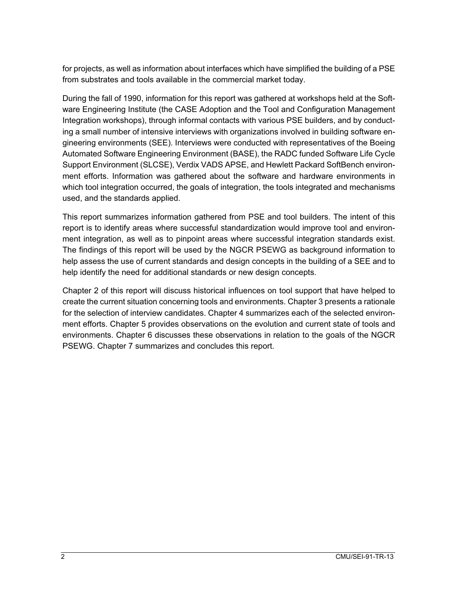for projects, as well as information about interfaces which have simplified the building of a PSE from substrates and tools available in the commercial market today.

During the fall of 1990, information for this report was gathered at workshops held at the Software Engineering Institute (the CASE Adoption and the Tool and Configuration Management Integration workshops), through informal contacts with various PSE builders, and by conducting a small number of intensive interviews with organizations involved in building software engineering environments (SEE). Interviews were conducted with representatives of the Boeing Automated Software Engineering Environment (BASE), the RADC funded Software Life Cycle Support Environment (SLCSE), Verdix VADS APSE, and Hewlett Packard SoftBench environment efforts. Information was gathered about the software and hardware environments in which tool integration occurred, the goals of integration, the tools integrated and mechanisms used, and the standards applied.

This report summarizes information gathered from PSE and tool builders. The intent of this report is to identify areas where successful standardization would improve tool and environment integration, as well as to pinpoint areas where successful integration standards exist. The findings of this report will be used by the NGCR PSEWG as background information to help assess the use of current standards and design concepts in the building of a SEE and to help identify the need for additional standards or new design concepts.

Chapter 2 of this report will discuss historical influences on tool support that have helped to create the current situation concerning tools and environments. Chapter 3 presents a rationale for the selection of interview candidates. Chapter 4 summarizes each of the selected environment efforts. Chapter 5 provides observations on the evolution and current state of tools and environments. Chapter 6 discusses these observations in relation to the goals of the NGCR PSEWG. Chapter 7 summarizes and concludes this report.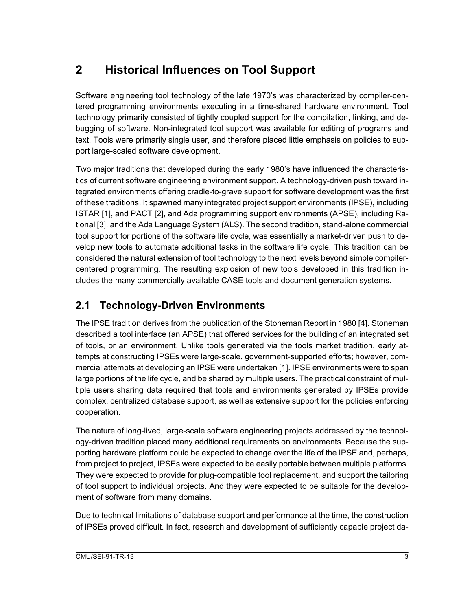## **2 Historical Influences on Tool Support**

Software engineering tool technology of the late 1970's was characterized by compiler-centered programming environments executing in a time-shared hardware environment. Tool technology primarily consisted of tightly coupled support for the compilation, linking, and debugging of software. Non-integrated tool support was available for editing of programs and text. Tools were primarily single user, and therefore placed little emphasis on policies to support large-scaled software development.

Two major traditions that developed during the early 1980's have influenced the characteristics of current software engineering environment support. A technology-driven push toward integrated environments offering cradle-to-grave support for software development was the first of these traditions. It spawned many integrated project support environments (IPSE), including ISTAR [1], and PACT [2], and Ada programming support environments (APSE), including Rational [3], and the Ada Language System (ALS). The second tradition, stand-alone commercial tool support for portions of the software life cycle, was essentially a market-driven push to develop new tools to automate additional tasks in the software life cycle. This tradition can be considered the natural extension of tool technology to the next levels beyond simple compilercentered programming. The resulting explosion of new tools developed in this tradition includes the many commercially available CASE tools and document generation systems.

### **2.1 Technology-Driven Environments**

The IPSE tradition derives from the publication of the Stoneman Report in 1980 [4]. Stoneman described a tool interface (an APSE) that offered services for the building of an integrated set of tools, or an environment. Unlike tools generated via the tools market tradition, early attempts at constructing IPSEs were large-scale, government-supported efforts; however, commercial attempts at developing an IPSE were undertaken [1]. IPSE environments were to span large portions of the life cycle, and be shared by multiple users. The practical constraint of multiple users sharing data required that tools and environments generated by IPSEs provide complex, centralized database support, as well as extensive support for the policies enforcing cooperation.

The nature of long-lived, large-scale software engineering projects addressed by the technology-driven tradition placed many additional requirements on environments. Because the supporting hardware platform could be expected to change over the life of the IPSE and, perhaps, from project to project, IPSEs were expected to be easily portable between multiple platforms. They were expected to provide for plug-compatible tool replacement, and support the tailoring of tool support to individual projects. And they were expected to be suitable for the development of software from many domains.

Due to technical limitations of database support and performance at the time, the construction of IPSEs proved difficult. In fact, research and development of sufficiently capable project da-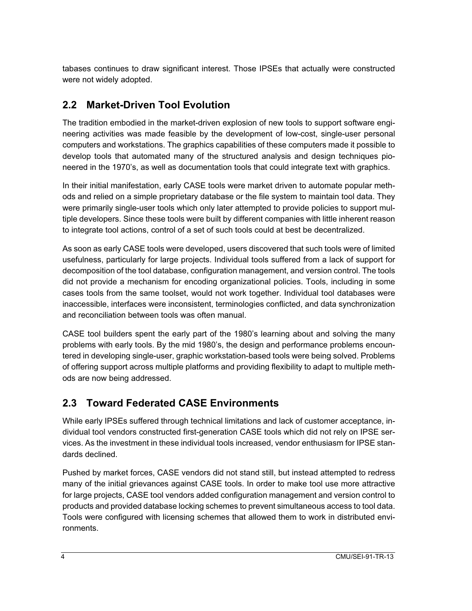tabases continues to draw significant interest. Those IPSEs that actually were constructed were not widely adopted.

### **2.2 Market-Driven Tool Evolution**

The tradition embodied in the market-driven explosion of new tools to support software engineering activities was made feasible by the development of low-cost, single-user personal computers and workstations. The graphics capabilities of these computers made it possible to develop tools that automated many of the structured analysis and design techniques pioneered in the 1970's, as well as documentation tools that could integrate text with graphics.

In their initial manifestation, early CASE tools were market driven to automate popular methods and relied on a simple proprietary database or the file system to maintain tool data. They were primarily single-user tools which only later attempted to provide policies to support multiple developers. Since these tools were built by different companies with little inherent reason to integrate tool actions, control of a set of such tools could at best be decentralized.

As soon as early CASE tools were developed, users discovered that such tools were of limited usefulness, particularly for large projects. Individual tools suffered from a lack of support for decomposition of the tool database, configuration management, and version control. The tools did not provide a mechanism for encoding organizational policies. Tools, including in some cases tools from the same toolset, would not work together. Individual tool databases were inaccessible, interfaces were inconsistent, terminologies conflicted, and data synchronization and reconciliation between tools was often manual.

CASE tool builders spent the early part of the 1980's learning about and solving the many problems with early tools. By the mid 1980's, the design and performance problems encountered in developing single-user, graphic workstation-based tools were being solved. Problems of offering support across multiple platforms and providing flexibility to adapt to multiple methods are now being addressed.

#### **2.3 Toward Federated CASE Environments**

While early IPSEs suffered through technical limitations and lack of customer acceptance, individual tool vendors constructed first-generation CASE tools which did not rely on IPSE services. As the investment in these individual tools increased, vendor enthusiasm for IPSE standards declined.

Pushed by market forces, CASE vendors did not stand still, but instead attempted to redress many of the initial grievances against CASE tools. In order to make tool use more attractive for large projects, CASE tool vendors added configuration management and version control to products and provided database locking schemes to prevent simultaneous access to tool data. Tools were configured with licensing schemes that allowed them to work in distributed environments.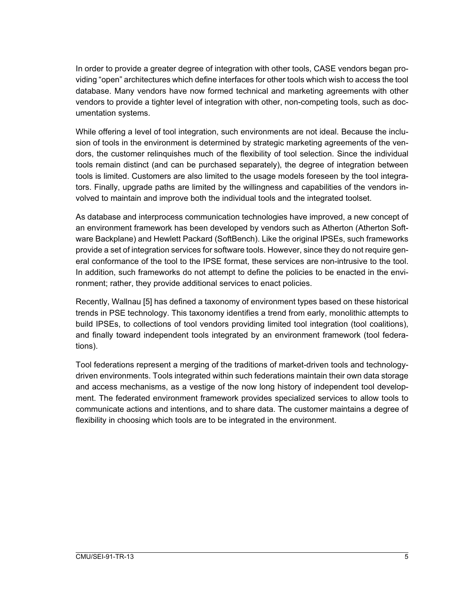In order to provide a greater degree of integration with other tools, CASE vendors began providing "open" architectures which define interfaces for other tools which wish to access the tool database. Many vendors have now formed technical and marketing agreements with other vendors to provide a tighter level of integration with other, non-competing tools, such as documentation systems.

While offering a level of tool integration, such environments are not ideal. Because the inclusion of tools in the environment is determined by strategic marketing agreements of the vendors, the customer relinquishes much of the flexibility of tool selection. Since the individual tools remain distinct (and can be purchased separately), the degree of integration between tools is limited. Customers are also limited to the usage models foreseen by the tool integrators. Finally, upgrade paths are limited by the willingness and capabilities of the vendors involved to maintain and improve both the individual tools and the integrated toolset.

As database and interprocess communication technologies have improved, a new concept of an environment framework has been developed by vendors such as Atherton (Atherton Software Backplane) and Hewlett Packard (SoftBench). Like the original IPSEs, such frameworks provide a set of integration services for software tools. However, since they do not require general conformance of the tool to the IPSE format, these services are non-intrusive to the tool. In addition, such frameworks do not attempt to define the policies to be enacted in the environment; rather, they provide additional services to enact policies.

Recently, Wallnau [5] has defined a taxonomy of environment types based on these historical trends in PSE technology. This taxonomy identifies a trend from early, monolithic attempts to build IPSEs, to collections of tool vendors providing limited tool integration (tool coalitions), and finally toward independent tools integrated by an environment framework (tool federations).

Tool federations represent a merging of the traditions of market-driven tools and technologydriven environments. Tools integrated within such federations maintain their own data storage and access mechanisms, as a vestige of the now long history of independent tool development. The federated environment framework provides specialized services to allow tools to communicate actions and intentions, and to share data. The customer maintains a degree of flexibility in choosing which tools are to be integrated in the environment.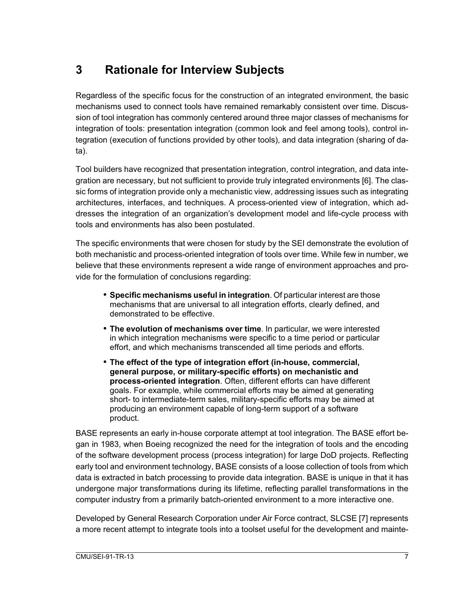## **3 Rationale for Interview Subjects**

Regardless of the specific focus for the construction of an integrated environment, the basic mechanisms used to connect tools have remained remarkably consistent over time. Discussion of tool integration has commonly centered around three major classes of mechanisms for integration of tools: presentation integration (common look and feel among tools), control integration (execution of functions provided by other tools), and data integration (sharing of data).

Tool builders have recognized that presentation integration, control integration, and data integration are necessary, but not sufficient to provide truly integrated environments [6]. The classic forms of integration provide only a mechanistic view, addressing issues such as integrating architectures, interfaces, and techniques. A process-oriented view of integration, which addresses the integration of an organization's development model and life-cycle process with tools and environments has also been postulated.

The specific environments that were chosen for study by the SEI demonstrate the evolution of both mechanistic and process-oriented integration of tools over time. While few in number, we believe that these environments represent a wide range of environment approaches and provide for the formulation of conclusions regarding:

- **Specific mechanisms useful in integration**. Of particular interest are those mechanisms that are universal to all integration efforts, clearly defined, and demonstrated to be effective.
- **The evolution of mechanisms over time**. In particular, we were interested in which integration mechanisms were specific to a time period or particular effort, and which mechanisms transcended all time periods and efforts.
- **The effect of the type of integration effort (in-house, commercial, general purpose, or military-specific efforts) on mechanistic and process-oriented integration**. Often, different efforts can have different goals. For example, while commercial efforts may be aimed at generating short- to intermediate-term sales, military-specific efforts may be aimed at producing an environment capable of long-term support of a software product.

BASE represents an early in-house corporate attempt at tool integration. The BASE effort began in 1983, when Boeing recognized the need for the integration of tools and the encoding of the software development process (process integration) for large DoD projects. Reflecting early tool and environment technology, BASE consists of a loose collection of tools from which data is extracted in batch processing to provide data integration. BASE is unique in that it has undergone major transformations during its lifetime, reflecting parallel transformations in the computer industry from a primarily batch-oriented environment to a more interactive one.

Developed by General Research Corporation under Air Force contract, SLCSE [7] represents a more recent attempt to integrate tools into a toolset useful for the development and mainte-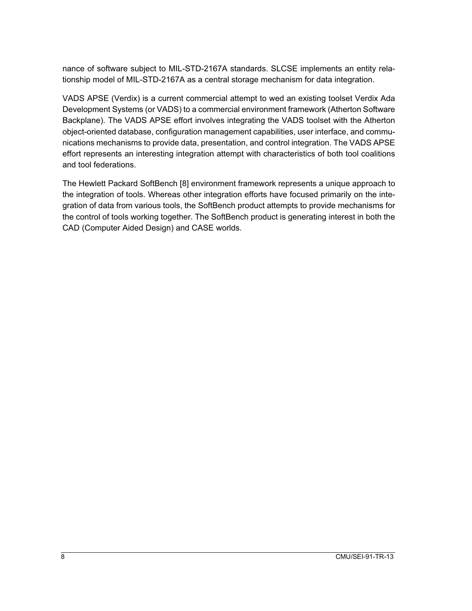nance of software subject to MIL-STD-2167A standards. SLCSE implements an entity relationship model of MIL-STD-2167A as a central storage mechanism for data integration.

VADS APSE (Verdix) is a current commercial attempt to wed an existing toolset Verdix Ada Development Systems (or VADS) to a commercial environment framework (Atherton Software Backplane). The VADS APSE effort involves integrating the VADS toolset with the Atherton object-oriented database, configuration management capabilities, user interface, and communications mechanisms to provide data, presentation, and control integration. The VADS APSE effort represents an interesting integration attempt with characteristics of both tool coalitions and tool federations.

The Hewlett Packard SoftBench [8] environment framework represents a unique approach to the integration of tools. Whereas other integration efforts have focused primarily on the integration of data from various tools, the SoftBench product attempts to provide mechanisms for the control of tools working together. The SoftBench product is generating interest in both the CAD (Computer Aided Design) and CASE worlds.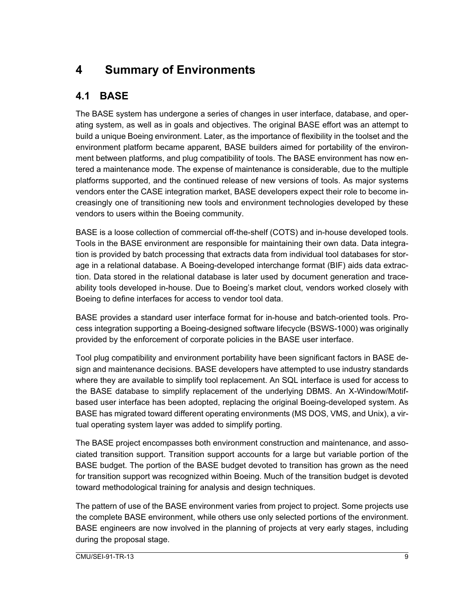# **4 Summary of Environments**

### **4.1 BASE**

The BASE system has undergone a series of changes in user interface, database, and operating system, as well as in goals and objectives. The original BASE effort was an attempt to build a unique Boeing environment. Later, as the importance of flexibility in the toolset and the environment platform became apparent, BASE builders aimed for portability of the environment between platforms, and plug compatibility of tools. The BASE environment has now entered a maintenance mode. The expense of maintenance is considerable, due to the multiple platforms supported, and the continued release of new versions of tools. As major systems vendors enter the CASE integration market, BASE developers expect their role to become increasingly one of transitioning new tools and environment technologies developed by these vendors to users within the Boeing community.

BASE is a loose collection of commercial off-the-shelf (COTS) and in-house developed tools. Tools in the BASE environment are responsible for maintaining their own data. Data integration is provided by batch processing that extracts data from individual tool databases for storage in a relational database. A Boeing-developed interchange format (BIF) aids data extraction. Data stored in the relational database is later used by document generation and traceability tools developed in-house. Due to Boeing's market clout, vendors worked closely with Boeing to define interfaces for access to vendor tool data.

BASE provides a standard user interface format for in-house and batch-oriented tools. Process integration supporting a Boeing-designed software lifecycle (BSWS-1000) was originally provided by the enforcement of corporate policies in the BASE user interface.

Tool plug compatibility and environment portability have been significant factors in BASE design and maintenance decisions. BASE developers have attempted to use industry standards where they are available to simplify tool replacement. An SQL interface is used for access to the BASE database to simplify replacement of the underlying DBMS. An X-Window/Motifbased user interface has been adopted, replacing the original Boeing-developed system. As BASE has migrated toward different operating environments (MS DOS, VMS, and Unix), a virtual operating system layer was added to simplify porting.

The BASE project encompasses both environment construction and maintenance, and associated transition support. Transition support accounts for a large but variable portion of the BASE budget. The portion of the BASE budget devoted to transition has grown as the need for transition support was recognized within Boeing. Much of the transition budget is devoted toward methodological training for analysis and design techniques.

The pattern of use of the BASE environment varies from project to project. Some projects use the complete BASE environment, while others use only selected portions of the environment. BASE engineers are now involved in the planning of projects at very early stages, including during the proposal stage.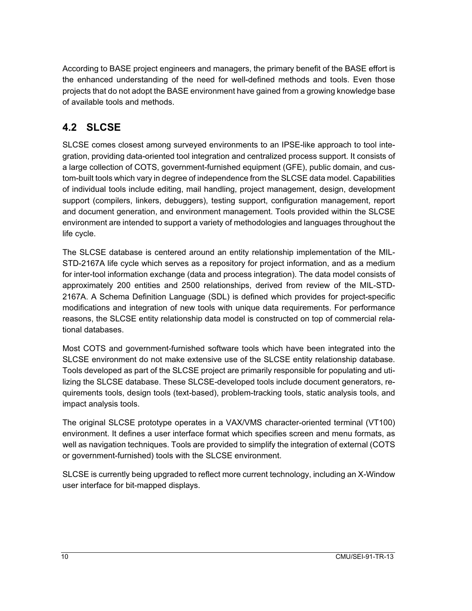According to BASE project engineers and managers, the primary benefit of the BASE effort is the enhanced understanding of the need for well-defined methods and tools. Even those projects that do not adopt the BASE environment have gained from a growing knowledge base of available tools and methods.

### **4.2 SLCSE**

SLCSE comes closest among surveyed environments to an IPSE-like approach to tool integration, providing data-oriented tool integration and centralized process support. It consists of a large collection of COTS, government-furnished equipment (GFE), public domain, and custom-built tools which vary in degree of independence from the SLCSE data model. Capabilities of individual tools include editing, mail handling, project management, design, development support (compilers, linkers, debuggers), testing support, configuration management, report and document generation, and environment management. Tools provided within the SLCSE environment are intended to support a variety of methodologies and languages throughout the life cycle.

The SLCSE database is centered around an entity relationship implementation of the MIL-STD-2167A life cycle which serves as a repository for project information, and as a medium for inter-tool information exchange (data and process integration). The data model consists of approximately 200 entities and 2500 relationships, derived from review of the MIL-STD-2167A. A Schema Definition Language (SDL) is defined which provides for project-specific modifications and integration of new tools with unique data requirements. For performance reasons, the SLCSE entity relationship data model is constructed on top of commercial relational databases.

Most COTS and government-furnished software tools which have been integrated into the SLCSE environment do not make extensive use of the SLCSE entity relationship database. Tools developed as part of the SLCSE project are primarily responsible for populating and utilizing the SLCSE database. These SLCSE-developed tools include document generators, requirements tools, design tools (text-based), problem-tracking tools, static analysis tools, and impact analysis tools.

The original SLCSE prototype operates in a VAX/VMS character-oriented terminal (VT100) environment. It defines a user interface format which specifies screen and menu formats, as well as navigation techniques. Tools are provided to simplify the integration of external (COTS or government-furnished) tools with the SLCSE environment.

SLCSE is currently being upgraded to reflect more current technology, including an X-Window user interface for bit-mapped displays.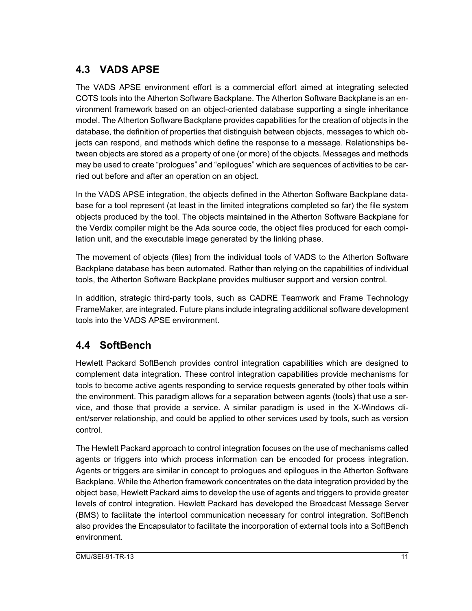#### **4.3 VADS APSE**

The VADS APSE environment effort is a commercial effort aimed at integrating selected COTS tools into the Atherton Software Backplane. The Atherton Software Backplane is an environment framework based on an object-oriented database supporting a single inheritance model. The Atherton Software Backplane provides capabilities for the creation of objects in the database, the definition of properties that distinguish between objects, messages to which objects can respond, and methods which define the response to a message. Relationships between objects are stored as a property of one (or more) of the objects. Messages and methods may be used to create "prologues" and "epilogues" which are sequences of activities to be carried out before and after an operation on an object.

In the VADS APSE integration, the objects defined in the Atherton Software Backplane database for a tool represent (at least in the limited integrations completed so far) the file system objects produced by the tool. The objects maintained in the Atherton Software Backplane for the Verdix compiler might be the Ada source code, the object files produced for each compilation unit, and the executable image generated by the linking phase.

The movement of objects (files) from the individual tools of VADS to the Atherton Software Backplane database has been automated. Rather than relying on the capabilities of individual tools, the Atherton Software Backplane provides multiuser support and version control.

In addition, strategic third-party tools, such as CADRE Teamwork and Frame Technology FrameMaker, are integrated. Future plans include integrating additional software development tools into the VADS APSE environment.

#### **4.4 SoftBench**

Hewlett Packard SoftBench provides control integration capabilities which are designed to complement data integration. These control integration capabilities provide mechanisms for tools to become active agents responding to service requests generated by other tools within the environment. This paradigm allows for a separation between agents (tools) that use a service, and those that provide a service. A similar paradigm is used in the X-Windows client/server relationship, and could be applied to other services used by tools, such as version control.

The Hewlett Packard approach to control integration focuses on the use of mechanisms called agents or triggers into which process information can be encoded for process integration. Agents or triggers are similar in concept to prologues and epilogues in the Atherton Software Backplane. While the Atherton framework concentrates on the data integration provided by the object base, Hewlett Packard aims to develop the use of agents and triggers to provide greater levels of control integration. Hewlett Packard has developed the Broadcast Message Server (BMS) to facilitate the intertool communication necessary for control integration. SoftBench also provides the Encapsulator to facilitate the incorporation of external tools into a SoftBench environment.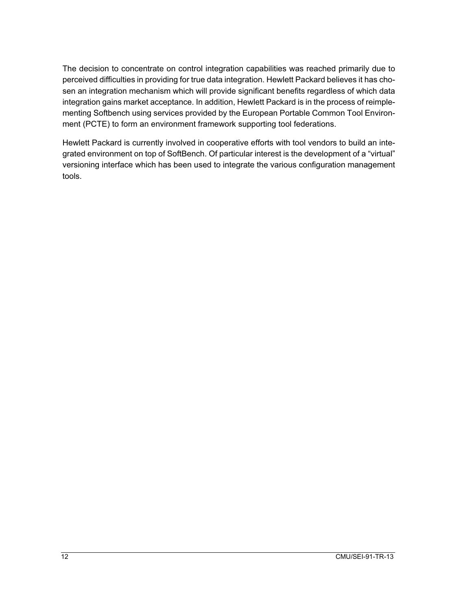The decision to concentrate on control integration capabilities was reached primarily due to perceived difficulties in providing for true data integration. Hewlett Packard believes it has chosen an integration mechanism which will provide significant benefits regardless of which data integration gains market acceptance. In addition, Hewlett Packard is in the process of reimplementing Softbench using services provided by the European Portable Common Tool Environment (PCTE) to form an environment framework supporting tool federations.

Hewlett Packard is currently involved in cooperative efforts with tool vendors to build an integrated environment on top of SoftBench. Of particular interest is the development of a "virtual" versioning interface which has been used to integrate the various configuration management tools.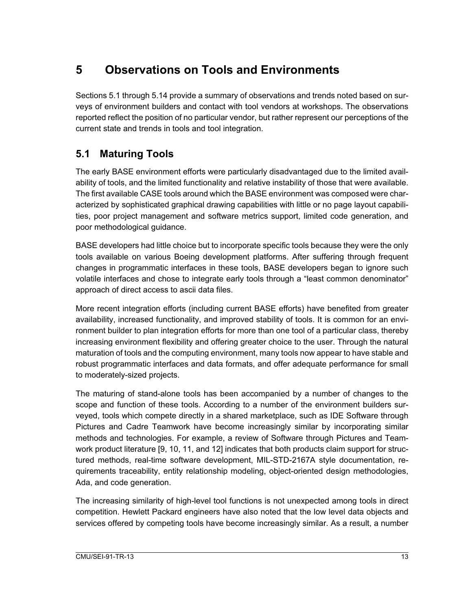## **5 Observations on Tools and Environments**

Sections 5.1 through 5.14 provide a summary of observations and trends noted based on surveys of environment builders and contact with tool vendors at workshops. The observations reported reflect the position of no particular vendor, but rather represent our perceptions of the current state and trends in tools and tool integration.

### **5.1 Maturing Tools**

The early BASE environment efforts were particularly disadvantaged due to the limited availability of tools, and the limited functionality and relative instability of those that were available. The first available CASE tools around which the BASE environment was composed were characterized by sophisticated graphical drawing capabilities with little or no page layout capabilities, poor project management and software metrics support, limited code generation, and poor methodological guidance.

BASE developers had little choice but to incorporate specific tools because they were the only tools available on various Boeing development platforms. After suffering through frequent changes in programmatic interfaces in these tools, BASE developers began to ignore such volatile interfaces and chose to integrate early tools through a "least common denominator" approach of direct access to ascii data files.

More recent integration efforts (including current BASE efforts) have benefited from greater availability, increased functionality, and improved stability of tools. It is common for an environment builder to plan integration efforts for more than one tool of a particular class, thereby increasing environment flexibility and offering greater choice to the user. Through the natural maturation of tools and the computing environment, many tools now appear to have stable and robust programmatic interfaces and data formats, and offer adequate performance for small to moderately-sized projects.

The maturing of stand-alone tools has been accompanied by a number of changes to the scope and function of these tools. According to a number of the environment builders surveyed, tools which compete directly in a shared marketplace, such as IDE Software through Pictures and Cadre Teamwork have become increasingly similar by incorporating similar methods and technologies. For example, a review of Software through Pictures and Teamwork product literature [9, 10, 11, and 12] indicates that both products claim support for structured methods, real-time software development, MIL-STD-2167A style documentation, requirements traceability, entity relationship modeling, object-oriented design methodologies, Ada, and code generation.

The increasing similarity of high-level tool functions is not unexpected among tools in direct competition. Hewlett Packard engineers have also noted that the low level data objects and services offered by competing tools have become increasingly similar. As a result, a number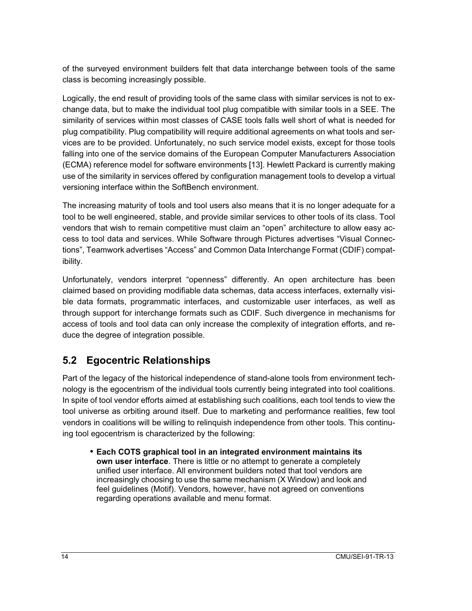of the surveyed environment builders felt that data interchange between tools of the same class is becoming increasingly possible.

Logically, the end result of providing tools of the same class with similar services is not to exchange data, but to make the individual tool plug compatible with similar tools in a SEE. The similarity of services within most classes of CASE tools falls well short of what is needed for plug compatibility. Plug compatibility will require additional agreements on what tools and services are to be provided. Unfortunately, no such service model exists, except for those tools falling into one of the service domains of the European Computer Manufacturers Association (ECMA) reference model for software environments [13]. Hewlett Packard is currently making use of the similarity in services offered by configuration management tools to develop a virtual versioning interface within the SoftBench environment.

The increasing maturity of tools and tool users also means that it is no longer adequate for a tool to be well engineered, stable, and provide similar services to other tools of its class. Tool vendors that wish to remain competitive must claim an "open" architecture to allow easy access to tool data and services. While Software through Pictures advertises "Visual Connections", Teamwork advertises "Access" and Common Data Interchange Format (CDIF) compatibility.

Unfortunately, vendors interpret "openness" differently. An open architecture has been claimed based on providing modifiable data schemas, data access interfaces, externally visible data formats, programmatic interfaces, and customizable user interfaces, as well as through support for interchange formats such as CDIF. Such divergence in mechanisms for access of tools and tool data can only increase the complexity of integration efforts, and reduce the degree of integration possible.

#### **5.2 Egocentric Relationships**

Part of the legacy of the historical independence of stand-alone tools from environment technology is the egocentrism of the individual tools currently being integrated into tool coalitions. In spite of tool vendor efforts aimed at establishing such coalitions, each tool tends to view the tool universe as orbiting around itself. Due to marketing and performance realities, few tool vendors in coalitions will be willing to relinquish independence from other tools. This continuing tool egocentrism is characterized by the following:

• **Each COTS graphical tool in an integrated environment maintains its own user interface**. There is little or no attempt to generate a completely unified user interface. All environment builders noted that tool vendors are increasingly choosing to use the same mechanism (X Window) and look and feel guidelines (Motif). Vendors, however, have not agreed on conventions regarding operations available and menu format.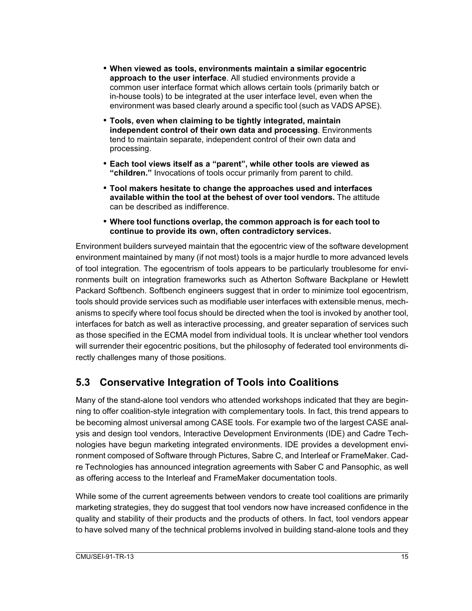- **When viewed as tools, environments maintain a similar egocentric approach to the user interface**. All studied environments provide a common user interface format which allows certain tools (primarily batch or in-house tools) to be integrated at the user interface level, even when the environment was based clearly around a specific tool (such as VADS APSE).
- **Tools, even when claiming to be tightly integrated, maintain independent control of their own data and processing**. Environments tend to maintain separate, independent control of their own data and processing.
- **Each tool views itself as a "parent", while other tools are viewed as "children."** Invocations of tools occur primarily from parent to child.
- **Tool makers hesitate to change the approaches used and interfaces available within the tool at the behest of over tool vendors.** The attitude can be described as indifference.
- **Where tool functions overlap, the common approach is for each tool to continue to provide its own, often contradictory services.**

Environment builders surveyed maintain that the egocentric view of the software development environment maintained by many (if not most) tools is a major hurdle to more advanced levels of tool integration. The egocentrism of tools appears to be particularly troublesome for environments built on integration frameworks such as Atherton Software Backplane or Hewlett Packard Softbench. Softbench engineers suggest that in order to minimize tool egocentrism, tools should provide services such as modifiable user interfaces with extensible menus, mechanisms to specify where tool focus should be directed when the tool is invoked by another tool, interfaces for batch as well as interactive processing, and greater separation of services such as those specified in the ECMA model from individual tools. It is unclear whether tool vendors will surrender their egocentric positions, but the philosophy of federated tool environments directly challenges many of those positions.

#### **5.3 Conservative Integration of Tools into Coalitions**

Many of the stand-alone tool vendors who attended workshops indicated that they are beginning to offer coalition-style integration with complementary tools. In fact, this trend appears to be becoming almost universal among CASE tools. For example two of the largest CASE analysis and design tool vendors, Interactive Development Environments (IDE) and Cadre Technologies have begun marketing integrated environments. IDE provides a development environment composed of Software through Pictures, Sabre C, and Interleaf or FrameMaker. Cadre Technologies has announced integration agreements with Saber C and Pansophic, as well as offering access to the Interleaf and FrameMaker documentation tools.

While some of the current agreements between vendors to create tool coalitions are primarily marketing strategies, they do suggest that tool vendors now have increased confidence in the quality and stability of their products and the products of others. In fact, tool vendors appear to have solved many of the technical problems involved in building stand-alone tools and they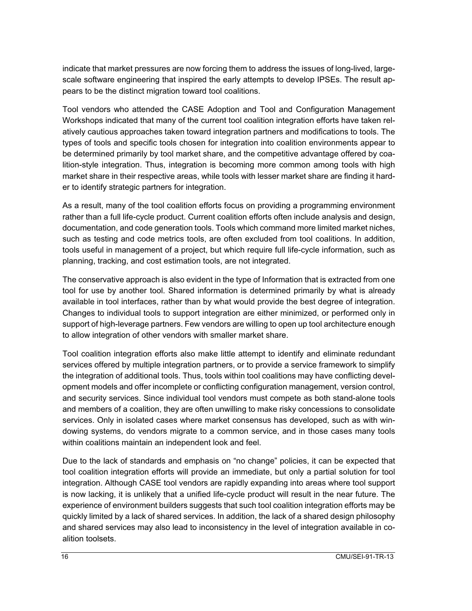indicate that market pressures are now forcing them to address the issues of long-lived, largescale software engineering that inspired the early attempts to develop IPSEs. The result appears to be the distinct migration toward tool coalitions.

Tool vendors who attended the CASE Adoption and Tool and Configuration Management Workshops indicated that many of the current tool coalition integration efforts have taken relatively cautious approaches taken toward integration partners and modifications to tools. The types of tools and specific tools chosen for integration into coalition environments appear to be determined primarily by tool market share, and the competitive advantage offered by coalition-style integration. Thus, integration is becoming more common among tools with high market share in their respective areas, while tools with lesser market share are finding it harder to identify strategic partners for integration.

As a result, many of the tool coalition efforts focus on providing a programming environment rather than a full life-cycle product. Current coalition efforts often include analysis and design, documentation, and code generation tools. Tools which command more limited market niches, such as testing and code metrics tools, are often excluded from tool coalitions. In addition, tools useful in management of a project, but which require full life-cycle information, such as planning, tracking, and cost estimation tools, are not integrated.

The conservative approach is also evident in the type of Information that is extracted from one tool for use by another tool. Shared information is determined primarily by what is already available in tool interfaces, rather than by what would provide the best degree of integration. Changes to individual tools to support integration are either minimized, or performed only in support of high-leverage partners. Few vendors are willing to open up tool architecture enough to allow integration of other vendors with smaller market share.

Tool coalition integration efforts also make little attempt to identify and eliminate redundant services offered by multiple integration partners, or to provide a service framework to simplify the integration of additional tools. Thus, tools within tool coalitions may have conflicting development models and offer incomplete or conflicting configuration management, version control, and security services. Since individual tool vendors must compete as both stand-alone tools and members of a coalition, they are often unwilling to make risky concessions to consolidate services. Only in isolated cases where market consensus has developed, such as with windowing systems, do vendors migrate to a common service, and in those cases many tools within coalitions maintain an independent look and feel.

Due to the lack of standards and emphasis on "no change" policies, it can be expected that tool coalition integration efforts will provide an immediate, but only a partial solution for tool integration. Although CASE tool vendors are rapidly expanding into areas where tool support is now lacking, it is unlikely that a unified life-cycle product will result in the near future. The experience of environment builders suggests that such tool coalition integration efforts may be quickly limited by a lack of shared services. In addition, the lack of a shared design philosophy and shared services may also lead to inconsistency in the level of integration available in coalition toolsets.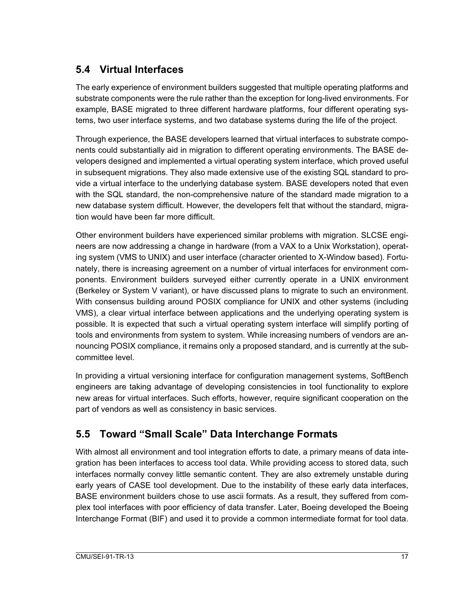#### **5.4 Virtual Interfaces**

The early experience of environment builders suggested that multiple operating platforms and substrate components were the rule rather than the exception for long-lived environments. For example, BASE migrated to three different hardware platforms, four different operating systems, two user interface systems, and two database systems during the life of the project.

Through experience, the BASE developers learned that virtual interfaces to substrate components could substantially aid in migration to different operating environments. The BASE developers designed and implemented a virtual operating system interface, which proved useful in subsequent migrations. They also made extensive use of the existing SQL standard to provide a virtual interface to the underlying database system. BASE developers noted that even with the SQL standard, the non-comprehensive nature of the standard made migration to a new database system difficult. However, the developers felt that without the standard, migration would have been far more difficult.

Other environment builders have experienced similar problems with migration. SLCSE engineers are now addressing a change in hardware (from a VAX to a Unix Workstation), operating system (VMS to UNIX) and user interface (character oriented to X-Window based). Fortunately, there is increasing agreement on a number of virtual interfaces for environment components. Environment builders surveyed either currently operate in a UNIX environment (Berkeley or System V variant), or have discussed plans to migrate to such an environment. With consensus building around POSIX compliance for UNIX and other systems (including VMS), a clear virtual interface between applications and the underlying operating system is possible. It is expected that such a virtual operating system interface will simplify porting of tools and environments from system to system. While increasing numbers of vendors are announcing POSIX compliance, it remains only a proposed standard, and is currently at the subcommittee level.

In providing a virtual versioning interface for configuration management systems, SoftBench engineers are taking advantage of developing consistencies in tool functionality to explore new areas for virtual interfaces. Such efforts, however, require significant cooperation on the part of vendors as well as consistency in basic services.

### **5.5 Toward "Small Scale" Data Interchange Formats**

With almost all environment and tool integration efforts to date, a primary means of data integration has been interfaces to access tool data. While providing access to stored data, such interfaces normally convey little semantic content. They are also extremely unstable during early years of CASE tool development. Due to the instability of these early data interfaces, BASE environment builders chose to use ascii formats. As a result, they suffered from complex tool interfaces with poor efficiency of data transfer. Later, Boeing developed the Boeing Interchange Format (BIF) and used it to provide a common intermediate format for tool data.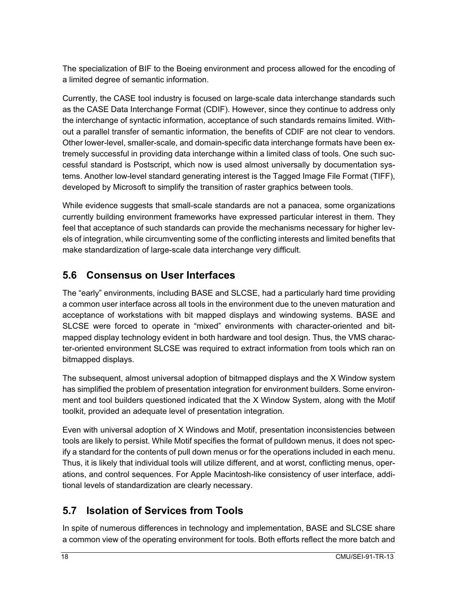The specialization of BIF to the Boeing environment and process allowed for the encoding of a limited degree of semantic information.

Currently, the CASE tool industry is focused on large-scale data interchange standards such as the CASE Data Interchange Format (CDIF). However, since they continue to address only the interchange of syntactic information, acceptance of such standards remains limited. Without a parallel transfer of semantic information, the benefits of CDIF are not clear to vendors. Other lower-level, smaller-scale, and domain-specific data interchange formats have been extremely successful in providing data interchange within a limited class of tools. One such successful standard is Postscript, which now is used almost universally by documentation systems. Another low-level standard generating interest is the Tagged Image File Format (TIFF), developed by Microsoft to simplify the transition of raster graphics between tools.

While evidence suggests that small-scale standards are not a panacea, some organizations currently building environment frameworks have expressed particular interest in them. They feel that acceptance of such standards can provide the mechanisms necessary for higher levels of integration, while circumventing some of the conflicting interests and limited benefits that make standardization of large-scale data interchange very difficult.

#### **5.6 Consensus on User Interfaces**

The "early" environments, including BASE and SLCSE, had a particularly hard time providing a common user interface across all tools in the environment due to the uneven maturation and acceptance of workstations with bit mapped displays and windowing systems. BASE and SLCSE were forced to operate in "mixed" environments with character-oriented and bitmapped display technology evident in both hardware and tool design. Thus, the VMS character-oriented environment SLCSE was required to extract information from tools which ran on bitmapped displays.

The subsequent, almost universal adoption of bitmapped displays and the X Window system has simplified the problem of presentation integration for environment builders. Some environment and tool builders questioned indicated that the X Window System, along with the Motif toolkit, provided an adequate level of presentation integration.

Even with universal adoption of X Windows and Motif, presentation inconsistencies between tools are likely to persist. While Motif specifies the format of pulldown menus, it does not specify a standard for the contents of pull down menus or for the operations included in each menu. Thus, it is likely that individual tools will utilize different, and at worst, conflicting menus, operations, and control sequences. For Apple Macintosh-like consistency of user interface, additional levels of standardization are clearly necessary.

#### **5.7 Isolation of Services from Tools**

In spite of numerous differences in technology and implementation, BASE and SLCSE share a common view of the operating environment for tools. Both efforts reflect the more batch and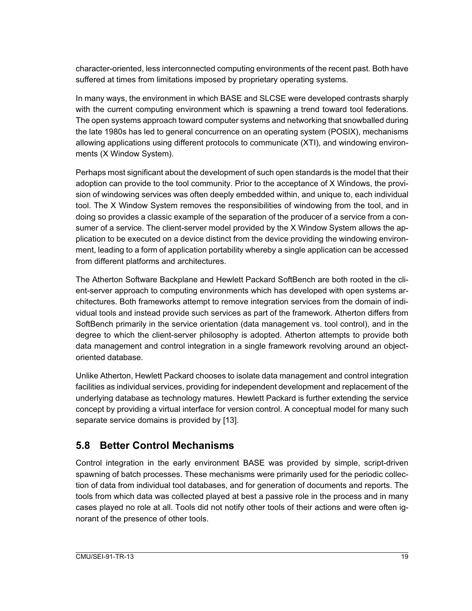character-oriented, less interconnected computing environments of the recent past. Both have suffered at times from limitations imposed by proprietary operating systems.

In many ways, the environment in which BASE and SLCSE were developed contrasts sharply with the current computing environment which is spawning a trend toward tool federations. The open systems approach toward computer systems and networking that snowballed during the late 1980s has led to general concurrence on an operating system (POSIX), mechanisms allowing applications using different protocols to communicate (XTI), and windowing environments (X Window System).

Perhaps most significant about the development of such open standards is the model that their adoption can provide to the tool community. Prior to the acceptance of X Windows, the provision of windowing services was often deeply embedded within, and unique to, each individual tool. The X Window System removes the responsibilities of windowing from the tool, and in doing so provides a classic example of the separation of the producer of a service from a consumer of a service. The client-server model provided by the X Window System allows the application to be executed on a device distinct from the device providing the windowing environment, leading to a form of application portability whereby a single application can be accessed from different platforms and architectures.

The Atherton Software Backplane and Hewlett Packard SoftBench are both rooted in the client-server approach to computing environments which has developed with open systems architectures. Both frameworks attempt to remove integration services from the domain of individual tools and instead provide such services as part of the framework. Atherton differs from SoftBench primarily in the service orientation (data management vs. tool control), and in the degree to which the client-server philosophy is adopted. Atherton attempts to provide both data management and control integration in a single framework revolving around an objectoriented database.

Unlike Atherton, Hewlett Packard chooses to isolate data management and control integration facilities as individual services, providing for independent development and replacement of the underlying database as technology matures. Hewlett Packard is further extending the service concept by providing a virtual interface for version control. A conceptual model for many such separate service domains is provided by [13].

#### **5.8 Better Control Mechanisms**

Control integration in the early environment BASE was provided by simple, script-driven spawning of batch processes. These mechanisms were primarily used for the periodic collection of data from individual tool databases, and for generation of documents and reports. The tools from which data was collected played at best a passive role in the process and in many cases played no role at all. Tools did not notify other tools of their actions and were often ignorant of the presence of other tools.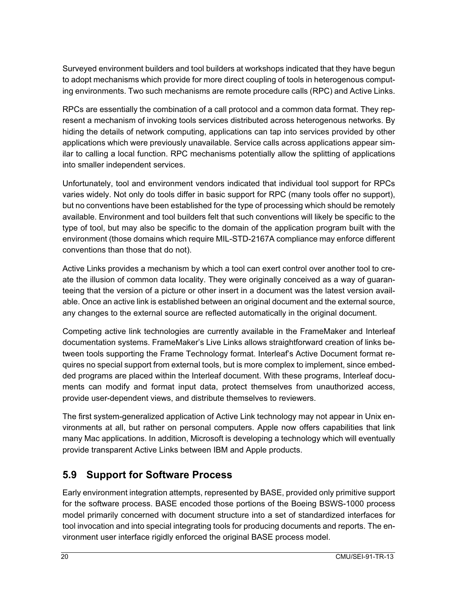Surveyed environment builders and tool builders at workshops indicated that they have begun to adopt mechanisms which provide for more direct coupling of tools in heterogenous computing environments. Two such mechanisms are remote procedure calls (RPC) and Active Links.

RPCs are essentially the combination of a call protocol and a common data format. They represent a mechanism of invoking tools services distributed across heterogenous networks. By hiding the details of network computing, applications can tap into services provided by other applications which were previously unavailable. Service calls across applications appear similar to calling a local function. RPC mechanisms potentially allow the splitting of applications into smaller independent services.

Unfortunately, tool and environment vendors indicated that individual tool support for RPCs varies widely. Not only do tools differ in basic support for RPC (many tools offer no support), but no conventions have been established for the type of processing which should be remotely available. Environment and tool builders felt that such conventions will likely be specific to the type of tool, but may also be specific to the domain of the application program built with the environment (those domains which require MIL-STD-2167A compliance may enforce different conventions than those that do not).

Active Links provides a mechanism by which a tool can exert control over another tool to create the illusion of common data locality. They were originally conceived as a way of guaranteeing that the version of a picture or other insert in a document was the latest version available. Once an active link is established between an original document and the external source, any changes to the external source are reflected automatically in the original document.

Competing active link technologies are currently available in the FrameMaker and Interleaf documentation systems. FrameMaker's Live Links allows straightforward creation of links between tools supporting the Frame Technology format. Interleaf's Active Document format requires no special support from external tools, but is more complex to implement, since embedded programs are placed within the Interleaf document. With these programs, Interleaf documents can modify and format input data, protect themselves from unauthorized access, provide user-dependent views, and distribute themselves to reviewers.

The first system-generalized application of Active Link technology may not appear in Unix environments at all, but rather on personal computers. Apple now offers capabilities that link many Mac applications. In addition, Microsoft is developing a technology which will eventually provide transparent Active Links between IBM and Apple products.

#### **5.9 Support for Software Process**

Early environment integration attempts, represented by BASE, provided only primitive support for the software process. BASE encoded those portions of the Boeing BSWS-1000 process model primarily concerned with document structure into a set of standardized interfaces for tool invocation and into special integrating tools for producing documents and reports. The environment user interface rigidly enforced the original BASE process model.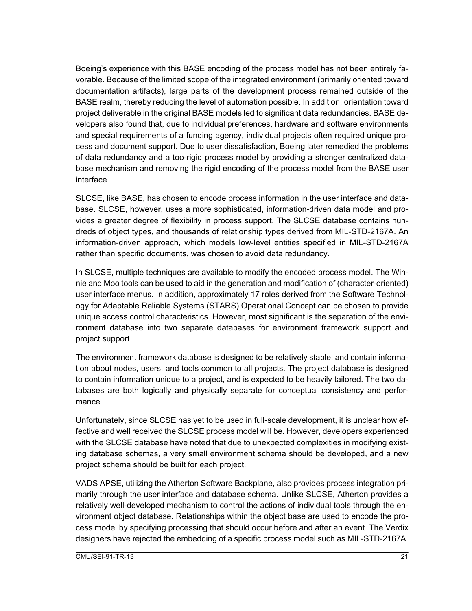Boeing's experience with this BASE encoding of the process model has not been entirely favorable. Because of the limited scope of the integrated environment (primarily oriented toward documentation artifacts), large parts of the development process remained outside of the BASE realm, thereby reducing the level of automation possible. In addition, orientation toward project deliverable in the original BASE models led to significant data redundancies. BASE developers also found that, due to individual preferences, hardware and software environments and special requirements of a funding agency, individual projects often required unique process and document support. Due to user dissatisfaction, Boeing later remedied the problems of data redundancy and a too-rigid process model by providing a stronger centralized database mechanism and removing the rigid encoding of the process model from the BASE user interface.

SLCSE, like BASE, has chosen to encode process information in the user interface and database. SLCSE, however, uses a more sophisticated, information-driven data model and provides a greater degree of flexibility in process support. The SLCSE database contains hundreds of object types, and thousands of relationship types derived from MIL-STD-2167A. An information-driven approach, which models low-level entities specified in MIL-STD-2167A rather than specific documents, was chosen to avoid data redundancy.

In SLCSE, multiple techniques are available to modify the encoded process model. The Winnie and Moo tools can be used to aid in the generation and modification of (character-oriented) user interface menus. In addition, approximately 17 roles derived from the Software Technology for Adaptable Reliable Systems (STARS) Operational Concept can be chosen to provide unique access control characteristics. However, most significant is the separation of the environment database into two separate databases for environment framework support and project support.

The environment framework database is designed to be relatively stable, and contain information about nodes, users, and tools common to all projects. The project database is designed to contain information unique to a project, and is expected to be heavily tailored. The two databases are both logically and physically separate for conceptual consistency and performance.

Unfortunately, since SLCSE has yet to be used in full-scale development, it is unclear how effective and well received the SLCSE process model will be. However, developers experienced with the SLCSE database have noted that due to unexpected complexities in modifying existing database schemas, a very small environment schema should be developed, and a new project schema should be built for each project.

VADS APSE, utilizing the Atherton Software Backplane, also provides process integration primarily through the user interface and database schema. Unlike SLCSE, Atherton provides a relatively well-developed mechanism to control the actions of individual tools through the environment object database. Relationships within the object base are used to encode the process model by specifying processing that should occur before and after an event. The Verdix designers have rejected the embedding of a specific process model such as MIL-STD-2167A.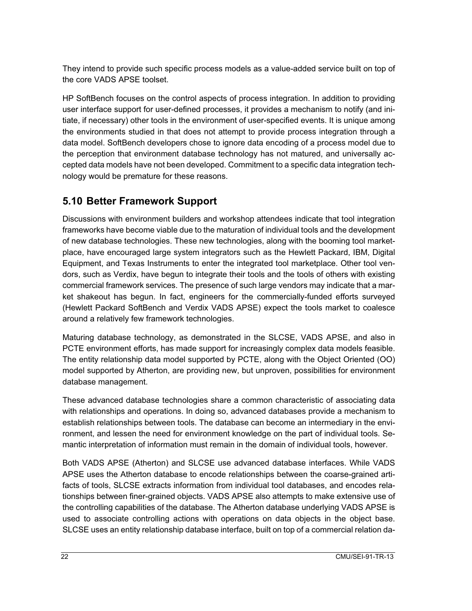They intend to provide such specific process models as a value-added service built on top of the core VADS APSE toolset.

HP SoftBench focuses on the control aspects of process integration. In addition to providing user interface support for user-defined processes, it provides a mechanism to notify (and initiate, if necessary) other tools in the environment of user-specified events. It is unique among the environments studied in that does not attempt to provide process integration through a data model. SoftBench developers chose to ignore data encoding of a process model due to the perception that environment database technology has not matured, and universally accepted data models have not been developed. Commitment to a specific data integration technology would be premature for these reasons.

#### **5.10 Better Framework Support**

Discussions with environment builders and workshop attendees indicate that tool integration frameworks have become viable due to the maturation of individual tools and the development of new database technologies. These new technologies, along with the booming tool marketplace, have encouraged large system integrators such as the Hewlett Packard, IBM, Digital Equipment, and Texas Instruments to enter the integrated tool marketplace. Other tool vendors, such as Verdix, have begun to integrate their tools and the tools of others with existing commercial framework services. The presence of such large vendors may indicate that a market shakeout has begun. In fact, engineers for the commercially-funded efforts surveyed (Hewlett Packard SoftBench and Verdix VADS APSE) expect the tools market to coalesce around a relatively few framework technologies.

Maturing database technology, as demonstrated in the SLCSE, VADS APSE, and also in PCTE environment efforts, has made support for increasingly complex data models feasible. The entity relationship data model supported by PCTE, along with the Object Oriented (OO) model supported by Atherton, are providing new, but unproven, possibilities for environment database management.

These advanced database technologies share a common characteristic of associating data with relationships and operations. In doing so, advanced databases provide a mechanism to establish relationships between tools. The database can become an intermediary in the environment, and lessen the need for environment knowledge on the part of individual tools. Semantic interpretation of information must remain in the domain of individual tools, however.

Both VADS APSE (Atherton) and SLCSE use advanced database interfaces. While VADS APSE uses the Atherton database to encode relationships between the coarse-grained artifacts of tools, SLCSE extracts information from individual tool databases, and encodes relationships between finer-grained objects. VADS APSE also attempts to make extensive use of the controlling capabilities of the database. The Atherton database underlying VADS APSE is used to associate controlling actions with operations on data objects in the object base. SLCSE uses an entity relationship database interface, built on top of a commercial relation da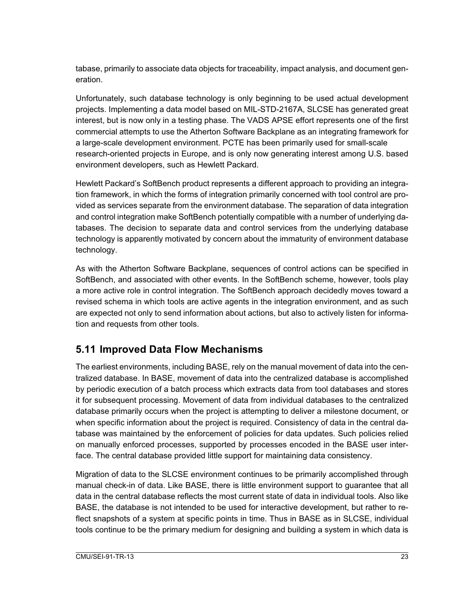tabase, primarily to associate data objects for traceability, impact analysis, and document generation.

Unfortunately, such database technology is only beginning to be used actual development projects. Implementing a data model based on MIL-STD-2167A, SLCSE has generated great interest, but is now only in a testing phase. The VADS APSE effort represents one of the first commercial attempts to use the Atherton Software Backplane as an integrating framework for a large-scale development environment. PCTE has been primarily used for small-scale research-oriented projects in Europe, and is only now generating interest among U.S. based environment developers, such as Hewlett Packard.

Hewlett Packard's SoftBench product represents a different approach to providing an integration framework, in which the forms of integration primarily concerned with tool control are provided as services separate from the environment database. The separation of data integration and control integration make SoftBench potentially compatible with a number of underlying databases. The decision to separate data and control services from the underlying database technology is apparently motivated by concern about the immaturity of environment database technology.

As with the Atherton Software Backplane, sequences of control actions can be specified in SoftBench, and associated with other events. In the SoftBench scheme, however, tools play a more active role in control integration. The SoftBench approach decidedly moves toward a revised schema in which tools are active agents in the integration environment, and as such are expected not only to send information about actions, but also to actively listen for information and requests from other tools.

#### **5.11 Improved Data Flow Mechanisms**

The earliest environments, including BASE, rely on the manual movement of data into the centralized database. In BASE, movement of data into the centralized database is accomplished by periodic execution of a batch process which extracts data from tool databases and stores it for subsequent processing. Movement of data from individual databases to the centralized database primarily occurs when the project is attempting to deliver a milestone document, or when specific information about the project is required. Consistency of data in the central database was maintained by the enforcement of policies for data updates. Such policies relied on manually enforced processes, supported by processes encoded in the BASE user interface. The central database provided little support for maintaining data consistency.

Migration of data to the SLCSE environment continues to be primarily accomplished through manual check-in of data. Like BASE, there is little environment support to guarantee that all data in the central database reflects the most current state of data in individual tools. Also like BASE, the database is not intended to be used for interactive development, but rather to reflect snapshots of a system at specific points in time. Thus in BASE as in SLCSE, individual tools continue to be the primary medium for designing and building a system in which data is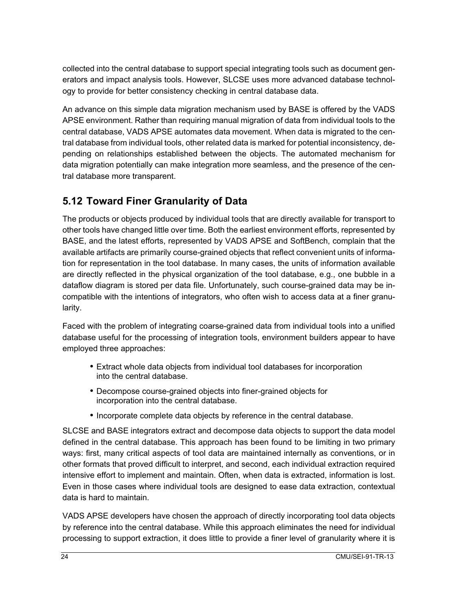collected into the central database to support special integrating tools such as document generators and impact analysis tools. However, SLCSE uses more advanced database technology to provide for better consistency checking in central database data.

An advance on this simple data migration mechanism used by BASE is offered by the VADS APSE environment. Rather than requiring manual migration of data from individual tools to the central database, VADS APSE automates data movement. When data is migrated to the central database from individual tools, other related data is marked for potential inconsistency, depending on relationships established between the objects. The automated mechanism for data migration potentially can make integration more seamless, and the presence of the central database more transparent.

#### **5.12 Toward Finer Granularity of Data**

The products or objects produced by individual tools that are directly available for transport to other tools have changed little over time. Both the earliest environment efforts, represented by BASE, and the latest efforts, represented by VADS APSE and SoftBench, complain that the available artifacts are primarily course-grained objects that reflect convenient units of information for representation in the tool database. In many cases, the units of information available are directly reflected in the physical organization of the tool database, e.g., one bubble in a dataflow diagram is stored per data file. Unfortunately, such course-grained data may be incompatible with the intentions of integrators, who often wish to access data at a finer granularity.

Faced with the problem of integrating coarse-grained data from individual tools into a unified database useful for the processing of integration tools, environment builders appear to have employed three approaches:

- Extract whole data objects from individual tool databases for incorporation into the central database.
- Decompose course-grained objects into finer-grained objects for incorporation into the central database.
- Incorporate complete data objects by reference in the central database.

SLCSE and BASE integrators extract and decompose data objects to support the data model defined in the central database. This approach has been found to be limiting in two primary ways: first, many critical aspects of tool data are maintained internally as conventions, or in other formats that proved difficult to interpret, and second, each individual extraction required intensive effort to implement and maintain. Often, when data is extracted, information is lost. Even in those cases where individual tools are designed to ease data extraction, contextual data is hard to maintain.

VADS APSE developers have chosen the approach of directly incorporating tool data objects by reference into the central database. While this approach eliminates the need for individual processing to support extraction, it does little to provide a finer level of granularity where it is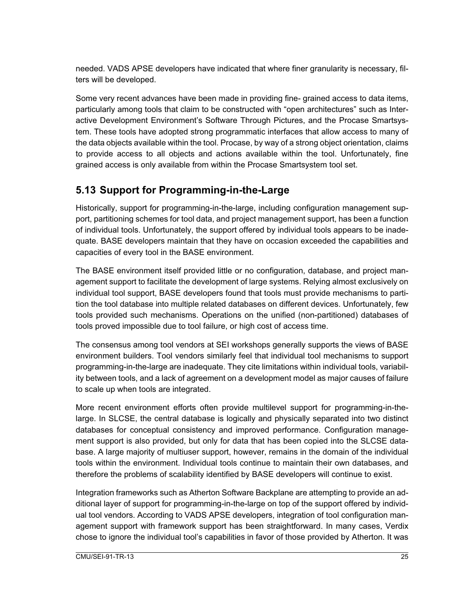needed. VADS APSE developers have indicated that where finer granularity is necessary, filters will be developed.

Some very recent advances have been made in providing fine- grained access to data items, particularly among tools that claim to be constructed with "open architectures" such as Interactive Development Environment's Software Through Pictures, and the Procase Smartsystem. These tools have adopted strong programmatic interfaces that allow access to many of the data objects available within the tool. Procase, by way of a strong object orientation, claims to provide access to all objects and actions available within the tool. Unfortunately, fine grained access is only available from within the Procase Smartsystem tool set.

#### **5.13 Support for Programming-in-the-Large**

Historically, support for programming-in-the-large, including configuration management support, partitioning schemes for tool data, and project management support, has been a function of individual tools. Unfortunately, the support offered by individual tools appears to be inadequate. BASE developers maintain that they have on occasion exceeded the capabilities and capacities of every tool in the BASE environment.

The BASE environment itself provided little or no configuration, database, and project management support to facilitate the development of large systems. Relying almost exclusively on individual tool support, BASE developers found that tools must provide mechanisms to partition the tool database into multiple related databases on different devices. Unfortunately, few tools provided such mechanisms. Operations on the unified (non-partitioned) databases of tools proved impossible due to tool failure, or high cost of access time.

The consensus among tool vendors at SEI workshops generally supports the views of BASE environment builders. Tool vendors similarly feel that individual tool mechanisms to support programming-in-the-large are inadequate. They cite limitations within individual tools, variability between tools, and a lack of agreement on a development model as major causes of failure to scale up when tools are integrated.

More recent environment efforts often provide multilevel support for programming-in-thelarge. In SLCSE, the central database is logically and physically separated into two distinct databases for conceptual consistency and improved performance. Configuration management support is also provided, but only for data that has been copied into the SLCSE database. A large majority of multiuser support, however, remains in the domain of the individual tools within the environment. Individual tools continue to maintain their own databases, and therefore the problems of scalability identified by BASE developers will continue to exist.

Integration frameworks such as Atherton Software Backplane are attempting to provide an additional layer of support for programming-in-the-large on top of the support offered by individual tool vendors. According to VADS APSE developers, integration of tool configuration management support with framework support has been straightforward. In many cases, Verdix chose to ignore the individual tool's capabilities in favor of those provided by Atherton. It was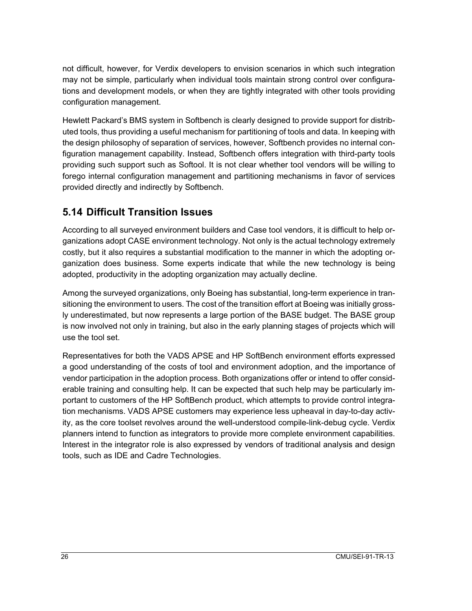not difficult, however, for Verdix developers to envision scenarios in which such integration may not be simple, particularly when individual tools maintain strong control over configurations and development models, or when they are tightly integrated with other tools providing configuration management.

Hewlett Packard's BMS system in Softbench is clearly designed to provide support for distributed tools, thus providing a useful mechanism for partitioning of tools and data. In keeping with the design philosophy of separation of services, however, Softbench provides no internal configuration management capability. Instead, Softbench offers integration with third-party tools providing such support such as Softool. It is not clear whether tool vendors will be willing to forego internal configuration management and partitioning mechanisms in favor of services provided directly and indirectly by Softbench.

#### **5.14 Difficult Transition Issues**

According to all surveyed environment builders and Case tool vendors, it is difficult to help organizations adopt CASE environment technology. Not only is the actual technology extremely costly, but it also requires a substantial modification to the manner in which the adopting organization does business. Some experts indicate that while the new technology is being adopted, productivity in the adopting organization may actually decline.

Among the surveyed organizations, only Boeing has substantial, long-term experience in transitioning the environment to users. The cost of the transition effort at Boeing was initially grossly underestimated, but now represents a large portion of the BASE budget. The BASE group is now involved not only in training, but also in the early planning stages of projects which will use the tool set.

Representatives for both the VADS APSE and HP SoftBench environment efforts expressed a good understanding of the costs of tool and environment adoption, and the importance of vendor participation in the adoption process. Both organizations offer or intend to offer considerable training and consulting help. It can be expected that such help may be particularly important to customers of the HP SoftBench product, which attempts to provide control integration mechanisms. VADS APSE customers may experience less upheaval in day-to-day activity, as the core toolset revolves around the well-understood compile-link-debug cycle. Verdix planners intend to function as integrators to provide more complete environment capabilities. Interest in the integrator role is also expressed by vendors of traditional analysis and design tools, such as IDE and Cadre Technologies.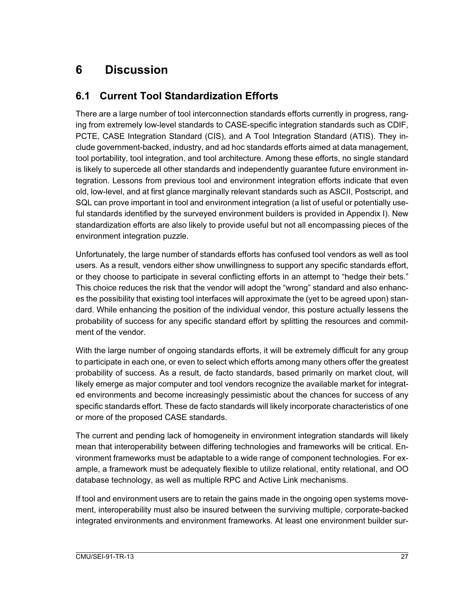## **6 Discussion**

#### **6.1 Current Tool Standardization Efforts**

There are a large number of tool interconnection standards efforts currently in progress, ranging from extremely low-level standards to CASE-specific integration standards such as CDIF, PCTE, CASE Integration Standard (CIS), and A Tool Integration Standard (ATIS). They include government-backed, industry, and ad hoc standards efforts aimed at data management, tool portability, tool integration, and tool architecture. Among these efforts, no single standard is likely to supercede all other standards and independently guarantee future environment integration. Lessons from previous tool and environment integration efforts indicate that even old, low-level, and at first glance marginally relevant standards such as ASCII, Postscript, and SQL can prove important in tool and environment integration (a list of useful or potentially useful standards identified by the surveyed environment builders is provided in Appendix I). New standardization efforts are also likely to provide useful but not all encompassing pieces of the environment integration puzzle.

Unfortunately, the large number of standards efforts has confused tool vendors as well as tool users. As a result, vendors either show unwillingness to support any specific standards effort, or they choose to participate in several conflicting efforts in an attempt to "hedge their bets." This choice reduces the risk that the vendor will adopt the "wrong" standard and also enhances the possibility that existing tool interfaces will approximate the (yet to be agreed upon) standard. While enhancing the position of the individual vendor, this posture actually lessens the probability of success for any specific standard effort by splitting the resources and commitment of the vendor.

With the large number of ongoing standards efforts, it will be extremely difficult for any group to participate in each one, or even to select which efforts among many others offer the greatest probability of success. As a result, de facto standards, based primarily on market clout, will likely emerge as major computer and tool vendors recognize the available market for integrated environments and become increasingly pessimistic about the chances for success of any specific standards effort. These de facto standards will likely incorporate characteristics of one or more of the proposed CASE standards.

The current and pending lack of homogeneity in environment integration standards will likely mean that interoperability between differing technologies and frameworks will be critical. Environment frameworks must be adaptable to a wide range of component technologies. For example, a framework must be adequately flexible to utilize relational, entity relational, and OO database technology, as well as multiple RPC and Active Link mechanisms.

If tool and environment users are to retain the gains made in the ongoing open systems movement, interoperability must also be insured between the surviving multiple, corporate-backed integrated environments and environment frameworks. At least one environment builder sur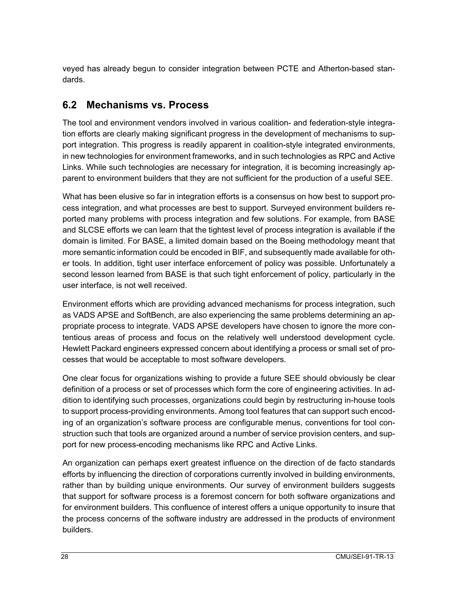veyed has already begun to consider integration between PCTE and Atherton-based standards.

#### **6.2 Mechanisms vs. Process**

The tool and environment vendors involved in various coalition- and federation-style integration efforts are clearly making significant progress in the development of mechanisms to support integration. This progress is readily apparent in coalition-style integrated environments, in new technologies for environment frameworks, and in such technologies as RPC and Active Links. While such technologies are necessary for integration, it is becoming increasingly apparent to environment builders that they are not sufficient for the production of a useful SEE.

What has been elusive so far in integration efforts is a consensus on how best to support process integration, and what processes are best to support. Surveyed environment builders reported many problems with process integration and few solutions. For example, from BASE and SLCSE efforts we can learn that the tightest level of process integration is available if the domain is limited. For BASE, a limited domain based on the Boeing methodology meant that more semantic information could be encoded in BIF, and subsequently made available for other tools. In addition, tight user interface enforcement of policy was possible. Unfortunately a second lesson learned from BASE is that such tight enforcement of policy, particularly in the user interface, is not well received.

Environment efforts which are providing advanced mechanisms for process integration, such as VADS APSE and SoftBench, are also experiencing the same problems determining an appropriate process to integrate. VADS APSE developers have chosen to ignore the more contentious areas of process and focus on the relatively well understood development cycle. Hewlett Packard engineers expressed concern about identifying a process or small set of processes that would be acceptable to most software developers.

One clear focus for organizations wishing to provide a future SEE should obviously be clear definition of a process or set of processes which form the core of engineering activities. In addition to identifying such processes, organizations could begin by restructuring in-house tools to support process-providing environments. Among tool features that can support such encoding of an organization's software process are configurable menus, conventions for tool construction such that tools are organized around a number of service provision centers, and support for new process-encoding mechanisms like RPC and Active Links.

An organization can perhaps exert greatest influence on the direction of de facto standards efforts by influencing the direction of corporations currently involved in building environments, rather than by building unique environments. Our survey of environment builders suggests that support for software process is a foremost concern for both software organizations and for environment builders. This confluence of interest offers a unique opportunity to insure that the process concerns of the software industry are addressed in the products of environment builders.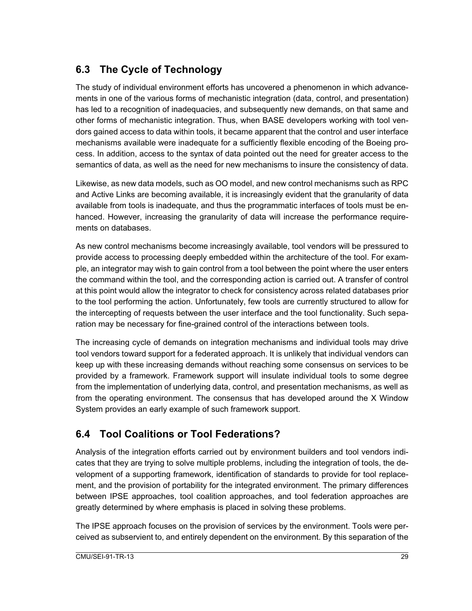#### **6.3 The Cycle of Technology**

The study of individual environment efforts has uncovered a phenomenon in which advancements in one of the various forms of mechanistic integration (data, control, and presentation) has led to a recognition of inadequacies, and subsequently new demands, on that same and other forms of mechanistic integration. Thus, when BASE developers working with tool vendors gained access to data within tools, it became apparent that the control and user interface mechanisms available were inadequate for a sufficiently flexible encoding of the Boeing process. In addition, access to the syntax of data pointed out the need for greater access to the semantics of data, as well as the need for new mechanisms to insure the consistency of data.

Likewise, as new data models, such as OO model, and new control mechanisms such as RPC and Active Links are becoming available, it is increasingly evident that the granularity of data available from tools is inadequate, and thus the programmatic interfaces of tools must be enhanced. However, increasing the granularity of data will increase the performance requirements on databases.

As new control mechanisms become increasingly available, tool vendors will be pressured to provide access to processing deeply embedded within the architecture of the tool. For example, an integrator may wish to gain control from a tool between the point where the user enters the command within the tool, and the corresponding action is carried out. A transfer of control at this point would allow the integrator to check for consistency across related databases prior to the tool performing the action. Unfortunately, few tools are currently structured to allow for the intercepting of requests between the user interface and the tool functionality. Such separation may be necessary for fine-grained control of the interactions between tools.

The increasing cycle of demands on integration mechanisms and individual tools may drive tool vendors toward support for a federated approach. It is unlikely that individual vendors can keep up with these increasing demands without reaching some consensus on services to be provided by a framework. Framework support will insulate individual tools to some degree from the implementation of underlying data, control, and presentation mechanisms, as well as from the operating environment. The consensus that has developed around the X Window System provides an early example of such framework support.

### **6.4 Tool Coalitions or Tool Federations?**

Analysis of the integration efforts carried out by environment builders and tool vendors indicates that they are trying to solve multiple problems, including the integration of tools, the development of a supporting framework, identification of standards to provide for tool replacement, and the provision of portability for the integrated environment. The primary differences between IPSE approaches, tool coalition approaches, and tool federation approaches are greatly determined by where emphasis is placed in solving these problems.

The IPSE approach focuses on the provision of services by the environment. Tools were perceived as subservient to, and entirely dependent on the environment. By this separation of the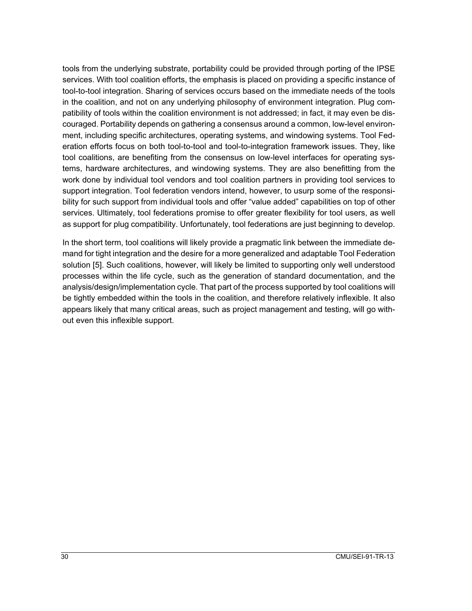tools from the underlying substrate, portability could be provided through porting of the IPSE services. With tool coalition efforts, the emphasis is placed on providing a specific instance of tool-to-tool integration. Sharing of services occurs based on the immediate needs of the tools in the coalition, and not on any underlying philosophy of environment integration. Plug compatibility of tools within the coalition environment is not addressed; in fact, it may even be discouraged. Portability depends on gathering a consensus around a common, low-level environment, including specific architectures, operating systems, and windowing systems. Tool Federation efforts focus on both tool-to-tool and tool-to-integration framework issues. They, like tool coalitions, are benefiting from the consensus on low-level interfaces for operating systems, hardware architectures, and windowing systems. They are also benefitting from the work done by individual tool vendors and tool coalition partners in providing tool services to support integration. Tool federation vendors intend, however, to usurp some of the responsibility for such support from individual tools and offer "value added" capabilities on top of other services. Ultimately, tool federations promise to offer greater flexibility for tool users, as well as support for plug compatibility. Unfortunately, tool federations are just beginning to develop.

In the short term, tool coalitions will likely provide a pragmatic link between the immediate demand for tight integration and the desire for a more generalized and adaptable Tool Federation solution [5]. Such coalitions, however, will likely be limited to supporting only well understood processes within the life cycle, such as the generation of standard documentation, and the analysis/design/implementation cycle. That part of the process supported by tool coalitions will be tightly embedded within the tools in the coalition, and therefore relatively inflexible. It also appears likely that many critical areas, such as project management and testing, will go without even this inflexible support.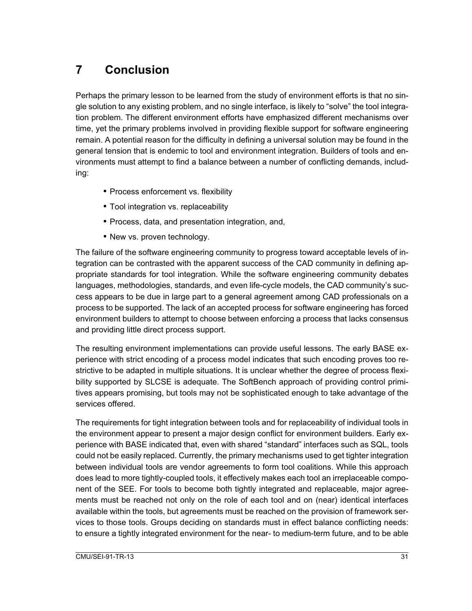# **7 Conclusion**

Perhaps the primary lesson to be learned from the study of environment efforts is that no single solution to any existing problem, and no single interface, is likely to "solve" the tool integration problem. The different environment efforts have emphasized different mechanisms over time, yet the primary problems involved in providing flexible support for software engineering remain. A potential reason for the difficulty in defining a universal solution may be found in the general tension that is endemic to tool and environment integration. Builders of tools and environments must attempt to find a balance between a number of conflicting demands, including:

- Process enforcement vs. flexibility
- Tool integration vs. replaceability
- Process, data, and presentation integration, and,
- New vs. proven technology.

The failure of the software engineering community to progress toward acceptable levels of integration can be contrasted with the apparent success of the CAD community in defining appropriate standards for tool integration. While the software engineering community debates languages, methodologies, standards, and even life-cycle models, the CAD community's success appears to be due in large part to a general agreement among CAD professionals on a process to be supported. The lack of an accepted process for software engineering has forced environment builders to attempt to choose between enforcing a process that lacks consensus and providing little direct process support.

The resulting environment implementations can provide useful lessons. The early BASE experience with strict encoding of a process model indicates that such encoding proves too restrictive to be adapted in multiple situations. It is unclear whether the degree of process flexibility supported by SLCSE is adequate. The SoftBench approach of providing control primitives appears promising, but tools may not be sophisticated enough to take advantage of the services offered.

The requirements for tight integration between tools and for replaceability of individual tools in the environment appear to present a major design conflict for environment builders. Early experience with BASE indicated that, even with shared "standard" interfaces such as SQL, tools could not be easily replaced. Currently, the primary mechanisms used to get tighter integration between individual tools are vendor agreements to form tool coalitions. While this approach does lead to more tightly-coupled tools, it effectively makes each tool an irreplaceable component of the SEE. For tools to become both tightly integrated and replaceable, major agreements must be reached not only on the role of each tool and on (near) identical interfaces available within the tools, but agreements must be reached on the provision of framework services to those tools. Groups deciding on standards must in effect balance conflicting needs: to ensure a tightly integrated environment for the near- to medium-term future, and to be able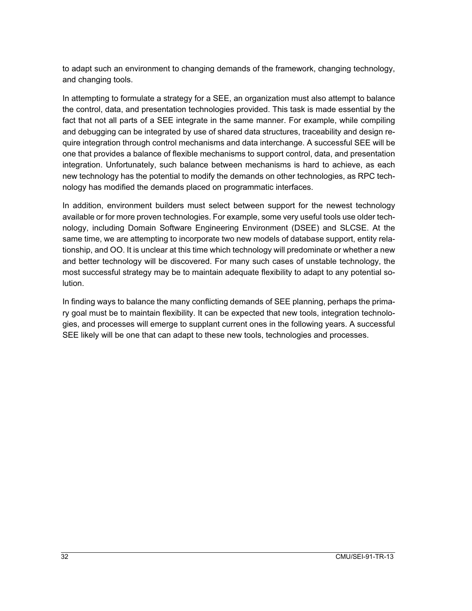to adapt such an environment to changing demands of the framework, changing technology, and changing tools.

In attempting to formulate a strategy for a SEE, an organization must also attempt to balance the control, data, and presentation technologies provided. This task is made essential by the fact that not all parts of a SEE integrate in the same manner. For example, while compiling and debugging can be integrated by use of shared data structures, traceability and design require integration through control mechanisms and data interchange. A successful SEE will be one that provides a balance of flexible mechanisms to support control, data, and presentation integration. Unfortunately, such balance between mechanisms is hard to achieve, as each new technology has the potential to modify the demands on other technologies, as RPC technology has modified the demands placed on programmatic interfaces.

In addition, environment builders must select between support for the newest technology available or for more proven technologies. For example, some very useful tools use older technology, including Domain Software Engineering Environment (DSEE) and SLCSE. At the same time, we are attempting to incorporate two new models of database support, entity relationship, and OO. It is unclear at this time which technology will predominate or whether a new and better technology will be discovered. For many such cases of unstable technology, the most successful strategy may be to maintain adequate flexibility to adapt to any potential solution.

In finding ways to balance the many conflicting demands of SEE planning, perhaps the primary goal must be to maintain flexibility. It can be expected that new tools, integration technologies, and processes will emerge to supplant current ones in the following years. A successful SEE likely will be one that can adapt to these new tools, technologies and processes.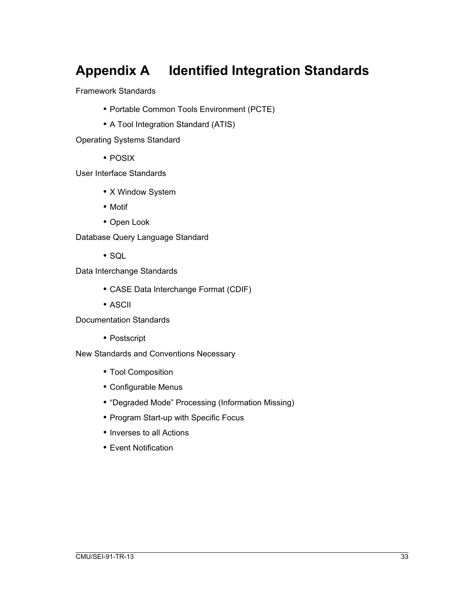# **Appendix A Identified Integration Standards**

Framework Standards

- Portable Common Tools Environment (PCTE)
- A Tool Integration Standard (ATIS)

Operating Systems Standard

• POSIX

User Interface Standards

- X Window System
- Motif
- Open Look

Database Query Language Standard

• SQL

Data Interchange Standards

- CASE Data Interchange Format (CDIF)
- ASCII

Documentation Standards

• Postscript

New Standards and Conventions Necessary

- Tool Composition
- Configurable Menus
- "Degraded Mode" Processing (Information Missing)
- Program Start-up with Specific Focus
- Inverses to all Actions
- Event Notification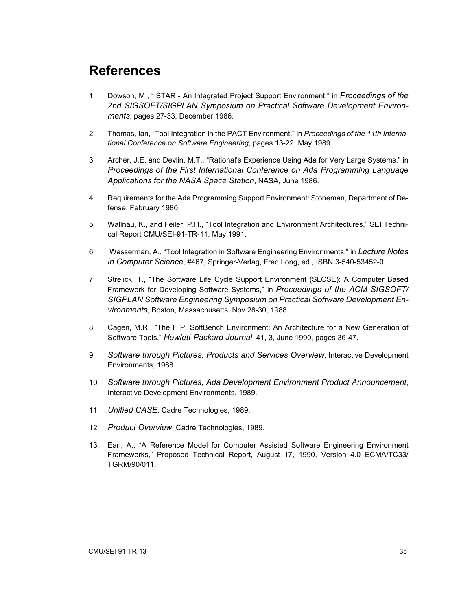# **References**

- 1 Dowson, M., "ISTAR An Integrated Project Support Environment," in *Proceedings of the 2nd SIGSOFT/SIGPLAN Symposium on Practical Software Development Environments*, pages 27-33, December 1986.
- 2 Thomas, Ian, "Tool Integration in the PACT Environment," in *Proceedings of the 11th International Conference on Software Engineering*, pages 13-22, May 1989.
- 3 Archer, J.E. and Devlin, M.T., "Rational's Experience Using Ada for Very Large Systems," in *Proceedings of the First International Conference on Ada Programming Language Applications for the NASA Space Station*, NASA, June 1986.
- 4 Requirements for the Ada Programming Support Environment: Stoneman, Department of Defense, February 1980.
- 5 Wallnau, K., and Feiler, P.H., "Tool Integration and Environment Architectures," SEI Technical Report CMU/SEI-91-TR-11, May 1991.
- 6 Wasserman, A., "Tool Integration in Software Engineering Environments," in *Lecture Notes in Computer Science*, #467, Springer-Verlag, Fred Long, ed., ISBN 3-540-53452-0.
- 7 Strelick, T., "The Software Life Cycle Support Environment (SLCSE): A Computer Based Framework for Developing Software Systems," in *Proceedings of the ACM SIGSOFT/ SIGPLAN Software Engineering Symposium on Practical Software Development Environments*, Boston, Massachusetts, Nov 28-30, 1988.
- 8 Cagen, M.R., "The H.P. SoftBench Environment: An Architecture for a New Generation of Software Tools," *Hewlett-Packard Journal*, 41, 3, June 1990, pages 36-47.
- 9 *Software through Pictures, Products and Services Overview*, Interactive Development Environments, 1988.
- 10 *Software through Pictures, Ada Development Environment Product Announcement*, Interactive Development Environments, 1989.
- 11 *Unified CASE*, Cadre Technologies, 1989.
- 12 *Product Overview*, Cadre Technologies, 1989.
- 13 Earl, A., "A Reference Model for Computer Assisted Software Engineering Environment Frameworks," Proposed Technical Report, August 17, 1990, Version 4.0 ECMA/TC33/ TGRM/90/011.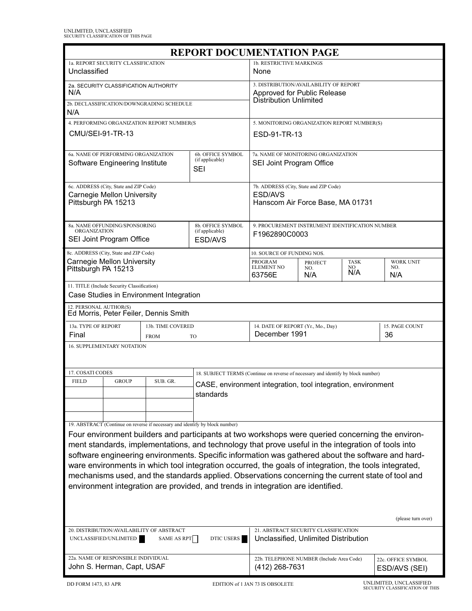| <b>REPORT DOCUMENTATION PAGE</b>                                                                                                                                                                       |                                                                   |                                                                                       |                                                                                                   |                                                                                       |                                                     |                                |                                     |  |  |  |
|--------------------------------------------------------------------------------------------------------------------------------------------------------------------------------------------------------|-------------------------------------------------------------------|---------------------------------------------------------------------------------------|---------------------------------------------------------------------------------------------------|---------------------------------------------------------------------------------------|-----------------------------------------------------|--------------------------------|-------------------------------------|--|--|--|
| 1a. REPORT SECURITY CLASSIFICATION<br>Unclassified                                                                                                                                                     |                                                                   |                                                                                       |                                                                                                   | 1b. RESTRICTIVE MARKINGS<br>None                                                      |                                                     |                                |                                     |  |  |  |
| 2a. SECURITY CLASSIFICATION AUTHORITY<br>N/A                                                                                                                                                           |                                                                   |                                                                                       |                                                                                                   | 3. DISTRIBUTION/AVAILABILITY OF REPORT<br>Approved for Public Release                 |                                                     |                                |                                     |  |  |  |
| 2b. DECLASSIFICATION/DOWNGRADING SCHEDULE<br>N/A                                                                                                                                                       |                                                                   |                                                                                       |                                                                                                   | <b>Distribution Unlimited</b>                                                         |                                                     |                                |                                     |  |  |  |
| 4. PERFORMING ORGANIZATION REPORT NUMBER(S                                                                                                                                                             |                                                                   |                                                                                       |                                                                                                   | 5. MONITORING ORGANIZATION REPORT NUMBER(S)                                           |                                                     |                                |                                     |  |  |  |
| CMU/SEI-91-TR-13                                                                                                                                                                                       |                                                                   |                                                                                       |                                                                                                   | ESD-91-TR-13                                                                          |                                                     |                                |                                     |  |  |  |
| 6a. NAME OF PERFORMING ORGANIZATION<br>(if applicable)<br>Software Engineering Institute<br><b>SEI</b>                                                                                                 |                                                                   |                                                                                       | 6b. OFFICE SYMBOL                                                                                 | 7a. NAME OF MONITORING ORGANIZATION<br>SEI Joint Program Office                       |                                                     |                                |                                     |  |  |  |
| 6c. ADDRESS (City, State and ZIP Code)<br>Carnegie Mellon University<br>Pittsburgh PA 15213                                                                                                            |                                                                   |                                                                                       |                                                                                                   | 7b. ADDRESS (City, State and ZIP Code)<br>ESD/AVS<br>Hanscom Air Force Base, MA 01731 |                                                     |                                |                                     |  |  |  |
| 8a. NAME OFFUNDING/SPONSORING<br>8b. OFFICE SYMBOL<br><b>ORGANIZATION</b><br>(if applicable)<br>SEI Joint Program Office<br>ESD/AVS                                                                    |                                                                   |                                                                                       |                                                                                                   | 9. PROCUREMENT INSTRUMENT IDENTIFICATION NUMBER<br>F1962890C0003                      |                                                     |                                |                                     |  |  |  |
|                                                                                                                                                                                                        | 8c. ADDRESS (City, State and ZIP Code)                            |                                                                                       |                                                                                                   | 10. SOURCE OF FUNDING NOS.                                                            |                                                     |                                |                                     |  |  |  |
| <b>Carnegie Mellon University</b><br>Pittsburgh PA 15213                                                                                                                                               |                                                                   |                                                                                       | <b>PROGRAM</b><br><b>ELEMENT NO</b><br>63756E                                                     | <b>PROJECT</b><br>NO.<br>N/A                                                          | <b>TASK</b><br>NO.<br>N/A                           | <b>WORK UNIT</b><br>NO.<br>N/A |                                     |  |  |  |
| 11. TITLE (Include Security Classification)<br>Case Studies in Environment Integration                                                                                                                 |                                                                   |                                                                                       |                                                                                                   |                                                                                       |                                                     |                                |                                     |  |  |  |
|                                                                                                                                                                                                        | 12. PERSONAL AUTHOR(S)<br>Ed Morris, Peter Feiler, Dennis Smith   |                                                                                       |                                                                                                   |                                                                                       |                                                     |                                |                                     |  |  |  |
| 13a. TYPE OF REPORT<br>Final<br><b>FROM</b>                                                                                                                                                            |                                                                   |                                                                                       | 13b. TIME COVERED<br><b>TO</b>                                                                    |                                                                                       | 14. DATE OF REPORT (Yr., Mo., Day)<br>December 1991 |                                |                                     |  |  |  |
| 16. SUPPLEMENTARY NOTATION                                                                                                                                                                             |                                                                   |                                                                                       |                                                                                                   |                                                                                       |                                                     |                                |                                     |  |  |  |
| 17. COSATI CODES                                                                                                                                                                                       |                                                                   |                                                                                       |                                                                                                   | 18. SUBJECT TERMS (Continue on reverse of necessary and identify by block number)     |                                                     |                                |                                     |  |  |  |
| <b>FIELD</b>                                                                                                                                                                                           | <b>GROUP</b>                                                      | SUB. GR.<br>CASE, environment integration, tool integration, environment<br>standards |                                                                                                   |                                                                                       |                                                     |                                |                                     |  |  |  |
|                                                                                                                                                                                                        |                                                                   |                                                                                       |                                                                                                   |                                                                                       |                                                     |                                |                                     |  |  |  |
|                                                                                                                                                                                                        |                                                                   | 19. ABSTRACT (Continue on reverse if necessary and identify by block number)          |                                                                                                   |                                                                                       |                                                     |                                |                                     |  |  |  |
| Four environment builders and participants at two workshops were queried concerning the environ-<br>ment standards, implementations, and technology that prove useful in the integration of tools into |                                                                   |                                                                                       |                                                                                                   |                                                                                       |                                                     |                                |                                     |  |  |  |
|                                                                                                                                                                                                        |                                                                   |                                                                                       | software engineering environments. Specific information was gathered about the software and hard- |                                                                                       |                                                     |                                |                                     |  |  |  |
| ware environments in which tool integration occurred, the goals of integration, the tools integrated,                                                                                                  |                                                                   |                                                                                       |                                                                                                   |                                                                                       |                                                     |                                |                                     |  |  |  |
| mechanisms used, and the standards applied. Observations concerning the current state of tool and                                                                                                      |                                                                   |                                                                                       |                                                                                                   |                                                                                       |                                                     |                                |                                     |  |  |  |
| environment integration are provided, and trends in integration are identified.                                                                                                                        |                                                                   |                                                                                       |                                                                                                   |                                                                                       |                                                     |                                |                                     |  |  |  |
| (please turn over)                                                                                                                                                                                     |                                                                   |                                                                                       |                                                                                                   |                                                                                       |                                                     |                                |                                     |  |  |  |
| 21. ABSTRACT SECURITY CLASSIFICATION<br>20. DISTRIBUTION/AVAILABILITY OF ABSTRACT<br>DTIC USERS<br>UNCLASSIFIED/UNLIMITED<br><b>SAME AS RPT</b><br>Unclassified, Unlimited Distribution                |                                                                   |                                                                                       |                                                                                                   |                                                                                       |                                                     |                                |                                     |  |  |  |
|                                                                                                                                                                                                        | 22a. NAME OF RESPONSIBLE INDIVIDUAL<br>John S. Herman, Capt, USAF |                                                                                       |                                                                                                   | 22b. TELEPHONE NUMBER (Include Area Code)<br>(412) 268-7631                           |                                                     |                                | 22c. OFFICE SYMBOL<br>ESD/AVS (SEI) |  |  |  |